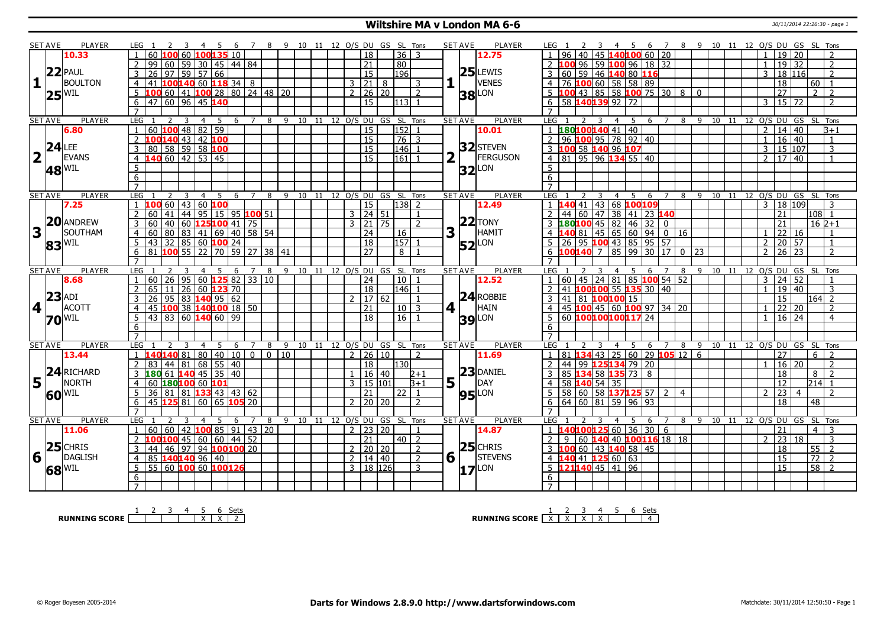## **Wiltshire MA v London MA 6-6** 30/11/2014 22:26:30 - page 1

|                | <b>SET AVE</b>                                     | PLAYER                    | LEG 1                                                                       |                                              | 7              |                      |      |      |                |                                        |                                |                          | <b>PLAYER</b><br><b>SET AVE</b>          | LEG 1<br>-4                                                   | $\overline{7}$<br>- 5<br>-6 |                |         |    |                | 8 9 10 11 12 O/S DU GS SL Tons                 |                          |
|----------------|----------------------------------------------------|---------------------------|-----------------------------------------------------------------------------|----------------------------------------------|----------------|----------------------|------|------|----------------|----------------------------------------|--------------------------------|--------------------------|------------------------------------------|---------------------------------------------------------------|-----------------------------|----------------|---------|----|----------------|------------------------------------------------|--------------------------|
|                |                                                    | 10.33                     | 60 100 60 100 135 10<br>$\overline{1}$                                      |                                              |                |                      |      |      |                | $\overline{18}$                        | 8 9 10 11 12 O/S DU GS SL Tons | $36 \mid 3$              | 12.75                                    | $1   96   40   45   140   100   60   20$                      |                             |                |         |    | $\overline{1}$ | 19 20                                          | $\mathcal{L}$            |
|                |                                                    |                           | 99 60 59 30 45 44 84<br>$\overline{2}$                                      |                                              |                |                      |      |      |                | $\overline{21}$                        | $\overline{80}$                |                          |                                          | 2 100 96 59 100 96 18 32                                      |                             |                |         |    | $\overline{1}$ | $19$ 32                                        | $\overline{2}$           |
|                |                                                    |                           | $97$ 59 57 66<br>$\overline{26}$<br>$\overline{3}$                          |                                              |                |                      |      |      |                | 15                                     | 196                            |                          | $25$ LEWIS                               | 60 59 46 140 80 116<br>$\overline{3}$                         |                             |                |         |    | 3              | 18 116                                         | $\overline{2}$           |
| 1              |                                                    | 22 PAUL<br><b>BOULTON</b> |                                                                             |                                              |                |                      |      |      |                |                                        |                                |                          | VENES                                    |                                                               |                             |                |         |    |                |                                                |                          |
|                |                                                    |                           | 41 100140 60 118 34 8<br>$\overline{4}$                                     |                                              |                |                      |      |      |                | $3 \ 21 \ 8$                           |                                | 3                        |                                          | 76 100 60 58 58 89<br>$\overline{4}$                          |                             |                |         |    |                | 18<br>60                                       | $\overline{1}$           |
|                |                                                    | $25^{ WIL }$              | 100 60 41 100 28 80 24 48 20<br>5                                           |                                              |                |                      |      |      | $\overline{2}$ | 26 20                                  |                                | $\overline{2}$           | <b>38</b> LON                            | LOO 43   85   58   100 75   30   8   0                        |                             |                |         |    |                | $\overline{27}$<br>$\overline{2}$              | $\overline{\phantom{a}}$ |
|                |                                                    |                           | 47 60 96 45 140<br>6                                                        |                                              |                |                      |      |      |                | 15                                     | 1131                           |                          |                                          | 58 140139 92 72<br>6                                          |                             |                |         |    | 3              | $15 \overline{2}$                              | $\mathcal{P}$            |
|                |                                                    |                           |                                                                             |                                              |                |                      |      |      |                |                                        |                                |                          |                                          |                                                               |                             |                |         |    |                |                                                |                          |
|                | <b>SET AVE</b>                                     | <b>PLAYER</b>             | LEG<br>$\overline{3}$                                                       | 5<br>$\overline{4}$<br>6                     | $\overline{7}$ | 8<br>9               | 10   | 11   |                |                                        | 12 O/S DU GS SL Tons           |                          | <b>SET AVE</b><br><b>PLAYER</b>          | LEG<br>$\overline{4}$                                         | 5<br>6<br>$\overline{7}$    | 8<br>-9        | 10      |    |                | 11 12 0/S DU GS SL Tons                        |                          |
|                |                                                    | 6.80                      | $60$ 100 48 82 59                                                           |                                              |                |                      |      |      |                | $\overline{15}$                        | $\overline{152}$               |                          | 10.01                                    | 180100140 41 40                                               |                             |                |         |    | $\overline{2}$ | 14   40                                        | $\overline{B+1}$         |
|                |                                                    |                           | $\overline{2}$                                                              |                                              |                |                      |      |      |                | $\overline{15}$                        |                                | $76 \mid 3$              |                                          | 96 100 95 78 92 40                                            |                             |                |         |    | $\mathbf{1}$   | $16 \ 40$                                      | $\mathbf{1}$             |
|                |                                                    | LEE                       | 3                                                                           |                                              |                |                      |      |      |                | $\overline{15}$                        | $\overline{146}$               |                          | 32 STEVEN                                | 3 100 58 140 96 107<br>4 81 95 96 134 55 40                   |                             |                |         |    | $\overline{3}$ | 15 107                                         | $\overline{3}$           |
|                | $2^{24}$                                           | EVANS                     | 100140 43 42 100<br>80 58 59 58 100<br>140 60 42 53 45<br>$\overline{4}$    |                                              |                |                      |      |      |                | $\overline{15}$                        | 161                            |                          | 2<br><b>FERGUSON</b>                     |                                                               |                             |                |         |    | $\overline{2}$ | 17 40                                          | $\mathbf{1}$             |
|                |                                                    | <b>48 WIL</b>             | 5                                                                           |                                              |                |                      |      |      |                |                                        |                                |                          | $32$ LON                                 | 5 <sup>1</sup>                                                |                             |                |         |    |                |                                                |                          |
|                |                                                    |                           | 6                                                                           |                                              |                |                      |      |      |                |                                        |                                |                          |                                          | 6                                                             |                             |                |         |    |                |                                                |                          |
|                |                                                    |                           | $\overline{7}$                                                              |                                              |                |                      |      |      |                |                                        |                                |                          |                                          | $\overline{7}$                                                |                             |                |         |    |                |                                                |                          |
|                | <b>SET AVE</b>                                     | <b>PLAYER</b>             | LEG<br>$\overline{2}$<br>3                                                  | $\overline{4}$<br>- 5<br>6                   | $\overline{7}$ | 8<br>9               |      |      |                |                                        | 10 11 12 O/S DU GS SL Tons     |                          | <b>SET AVE</b><br><b>PLAYER</b>          | LEG<br>4 5                                                    | 6                           | 789            |         |    |                | 10 11 12 0/S DU GS SL Tons                     |                          |
|                |                                                    | 7.25                      | 1 100 60 43 60 100                                                          |                                              |                |                      |      |      |                | 15                                     | $138$ 2                        |                          | 12.49                                    | 1 140 41 43 68 100109                                         |                             |                |         |    |                | 3   18   109                                   | 3                        |
|                |                                                    |                           | 60 41 44 95 15 95 100 51<br>$\overline{2}$                                  |                                              |                |                      |      |      |                | 3   24   51                            |                                | $\overline{1}$           |                                          | 44 60 47 38 41 23 140<br>$\overline{2}$                       |                             |                |         |    | 21             |                                                | $108$   1                |
|                |                                                    | <b>20</b> ANDREW          | 60                                                                          | 40   60 <mark>125 100</mark> 41   75         |                |                      |      |      |                | $3 \overline{)21} \overline{75}$       |                                | $\overline{2}$           | $22$ TONY                                | $180100$ 45 82 46 32 0                                        |                             |                |         |    | 21             |                                                | $16 \overline{2+1}$      |
| $\mathbf{3}$   |                                                    | SOUTHAM                   | $60$ 80 83 41 69 40 58 54<br>$\overline{4}$                                 |                                              |                |                      |      |      |                | 24                                     | 16                             |                          | 3<br>HAMIT                               | $-4081$   45   65   60   94   0   16                          |                             |                |         |    |                | 22 16                                          |                          |
|                |                                                    | 83 <sup>WIL</sup>         | 5                                                                           |                                              |                |                      |      |      |                | 18                                     | 157                            |                          | $52$ <sup>LON</sup>                      | 26 95 100 43 85 95 57                                         |                             |                |         |    | $\overline{2}$ | 20 57                                          | 1                        |
|                |                                                    |                           | 43 32 85 60 <b>100</b> 24<br>81 <b>100</b> 55 22 70 59 27 38 41<br>6        |                                              |                |                      |      |      |                | 27                                     | 8                              |                          |                                          | $6 \overline{100140}$ 7 85 99 30 17 0                         |                             | 123            |         |    | $\overline{2}$ | $26 \overline{)23}$                            | $\overline{2}$           |
|                |                                                    |                           |                                                                             |                                              |                |                      |      |      |                |                                        |                                |                          |                                          |                                                               |                             |                |         |    |                |                                                |                          |
| <b>SET AVE</b> |                                                    |                           |                                                                             |                                              |                |                      |      |      |                |                                        |                                |                          |                                          |                                                               |                             |                |         |    |                |                                                |                          |
|                |                                                    | <b>PLAYER</b>             | LEG                                                                         | 6<br>4                                       |                | 8<br>9               | 10   | 11   |                |                                        | 12 O/S DU GS SL Tons           |                          | <b>SET AVE</b><br><b>PLAYER</b>          | <b>LEG</b>                                                    | 6                           | 8              | 9<br>10 | 11 | 12             | O/S DU GS SL                                   | Tons                     |
|                |                                                    | 8.68                      | $60$   26<br>$\mathbf{1}$                                                   | 95   60 <b>125</b> 82   33   10              |                |                      |      |      |                | $\overline{24}$                        | 10                             |                          | 12.52                                    | $1   60   45   24   81   85   100   54   52$                  |                             |                |         |    | $\overline{3}$ | $\boxed{24}$ 52                                |                          |
|                |                                                    |                           | 2<br>65 11                                                                  |                                              |                |                      |      |      |                | 18                                     | 146 1                          |                          |                                          | $ 41 $ 100100 55 135 30 40<br>$\overline{2}$                  |                             |                |         |    | $\mathbf{1}$   | 19 40                                          | 3                        |
|                |                                                    | $23$ ADI                  | 26<br>$\overline{3}$                                                        | 26 60 123 70                                 |                |                      |      |      |                | 2   17   62                            |                                |                          | $24$ ROBBIE                              | 3   41   81   100   100   15                                  |                             |                |         |    |                | 15                                             | $164$ 2                  |
|                |                                                    | <b>ACOTT</b>              | $\overline{4}$                                                              | $95 83 $ <b>140</b> 95 62                    |                |                      |      |      |                | 21                                     |                                | $10$   3                 | HAIN                                     | $\overline{4}$                                                |                             |                |         |    | $\overline{1}$ | $\sqrt{22}$ 20                                 | $\overline{z}$           |
|                | $4\sqrt{1}$                                        |                           | 45 100 38 140 100 18 50<br>$\frac{1}{43}$ 83 60 140 60 99<br>5 <sup>5</sup> |                                              |                |                      |      |      |                | $\overline{18}$                        | $16$   1                       |                          | 4 1                                      | 45   100   45   60   100   97   34   20<br>60 100100100117 24 |                             |                |         |    | $\overline{1}$ | $16 \mid 24$                                   | $\overline{4}$           |
|                |                                                    | <b>70 WIL</b>             | 6                                                                           |                                              |                |                      |      |      |                |                                        |                                |                          | $39$ $\text{LON}$                        | 6                                                             |                             |                |         |    |                |                                                |                          |
|                |                                                    |                           | $\overline{7}$                                                              |                                              |                |                      |      |      |                |                                        |                                |                          |                                          |                                                               |                             |                |         |    |                |                                                |                          |
|                | <b>SET AVE</b>                                     | PLAYER                    | LEG<br>3                                                                    | $\overline{4}$<br>5<br>6                     | $\overline{7}$ | 8<br>9               | 10   | 11   |                |                                        | 12 O/S DU GS SL Tons           |                          | <b>SET AVE</b><br><b>PLAYER</b>          | LEG<br>$\overline{4}$                                         | -5<br>6<br>$\overline{7}$   | 8<br>- 9       |         |    |                | 10 11 12 0/S DU GS SL Tons                     |                          |
|                |                                                    | 13.44                     | 140140 81                                                                   | 80 40<br>$ 10\rangle$                        | $\boxed{0}$    | $\overline{0}$<br>10 |      |      |                | 2   26   10                            |                                | $\overline{2}$           | 11.69                                    | 81 134 43 25 60 29 105 12<br>1                                |                             | 6              |         |    |                | $\overline{27}$<br>6                           |                          |
|                |                                                    |                           |                                                                             |                                              |                |                      |      |      |                | 18                                     | 130                            |                          |                                          | 44 99 125 134 79 20                                           |                             |                |         |    |                | 16 20                                          | $\mathcal{P}$            |
|                |                                                    | RICHARD                   | 83   44   81   68   55   40<br>3 180 61 140 45 35 40                        |                                              |                |                      |      |      | $\mathbf{1}$   | 16 40                                  |                                | $2 + 1$                  |                                          |                                                               |                             |                |         |    |                | 18<br>8                                        | $\overline{2}$           |
|                |                                                    | <b>NORTH</b>              | 4                                                                           |                                              |                |                      |      |      | $\mathbf{3}$   | 15 101                                 |                                | $B+1$                    | $23$ DANIEL<br>DAY                       | 3 85 134 58 135 73 8                                          |                             |                |         |    |                | 12                                             | $214$ 1                  |
|                | $\mathsf{I}5\begin{bmatrix} 24 \\ 1 \end{bmatrix}$ |                           | 60 180 100 60 101<br>5 <sup>5</sup>                                         |                                              |                |                      |      |      |                | 21                                     | 22                             | $\overline{1}$           | $5\vert \bar{1}$                         | 58 140 54 35<br>$5^{\circ}$                                   |                             | $\overline{4}$ |         |    | $\mathcal{L}$  | 23<br>$\overline{4}$                           | $\mathcal{L}$            |
|                |                                                    | $60^{\text{WIL}}$         | 36 81 81 133 43 43 62                                                       |                                              | 105/20         |                      |      |      |                | $2 \times 20 \times 20$                |                                | $\overline{\phantom{0}}$ | <b>95</b> LON                            | 58 60 58 137125 57 2                                          |                             |                |         |    |                |                                                |                          |
|                |                                                    |                           | 145 <b>125</b> 81<br>6<br>$\overline{7}$                                    | 60 65                                        |                |                      |      |      |                |                                        |                                |                          |                                          | $6 \ 64 \ 60 \ 81 \ 59 \ 96 \ 93$<br>$\overline{7}$           |                             |                |         |    |                | $\overline{18}$<br>$\overline{48}$             |                          |
|                |                                                    |                           | $\mathcal{L}$<br>3                                                          | $\overline{4}$                               | $\overline{7}$ |                      |      | - 11 |                |                                        |                                |                          |                                          | 3                                                             |                             |                |         |    |                |                                                |                          |
|                | <b>SET AVE</b>                                     | PLAYER<br>11.06           | LEG<br>$\overline{1}$<br>  60                                               | 5<br>6                                       |                | 8                    | 9 10 |      |                |                                        | 12 O/S DU GS SL Tons           | $\overline{1}$           | <b>SET AVE</b><br><b>PLAYER</b><br>14.87 | LEG<br>4 5<br>$1\quad1$                                       | 6<br>$\bar{z}$              | 8              |         |    | 21             | 9 10 11 12 0/S DU GS SL Tons<br>$\overline{4}$ | 3                        |
|                |                                                    |                           |                                                                             | 60   42   <mark>100</mark> 85   91   43   20 |                |                      |      |      |                | $2 \mid 23 \mid 20$<br>$\overline{21}$ |                                | $40$   2                 |                                          | <b>40100125</b> 60 36 30 6<br>2 <sup>1</sup>                  |                             |                |         |    | $\mathcal{P}$  | 18                                             | 3                        |
|                |                                                    |                           | 2 <b>100100</b> 45 60 60 44 52<br>3                                         |                                              |                |                      |      |      |                | $2 \mid 20 \mid 20$                    |                                | $\overline{2}$           |                                          | 9   60   140   40   100116   18   18                          |                             |                |         |    |                | $ 23\rangle$                                   | $\sqrt{2}$               |
|                |                                                    | $25$ CHRIS                | 44 46 97 94 100100 20                                                       |                                              |                |                      |      |      |                |                                        |                                |                          | $25$ CHRIS                               | 3 100 60 43 140 58 45                                         |                             |                |         |    |                | 18<br>55                                       | $\overline{z}$           |
| $6\sqrt{ }$    |                                                    | DAGLISH                   | $\overline{4}$                                                              |                                              |                |                      |      |      |                | 2   14   40                            |                                | $\overline{2}$<br>3      | 6 <sup>1</sup><br>STEVENS                | 4 140 41 125 60 63                                            |                             |                |         |    |                | $\overline{72}$<br>$\overline{15}$             |                          |
|                |                                                    | $68$ <sup>WIL</sup>       | <u>85 140140 96 40<br/>55 60 100 60 100126</u><br>$5^{\circ}$               |                                              |                |                      |      |      |                | 3   18   126                           |                                |                          | $17$ <sup>LON</sup>                      | $5\vert 121140\rangle 45\vert 41\vert 96$                     |                             |                |         |    |                | $\overline{15}$                                | $\overline{58}$   2      |
|                |                                                    |                           | 6<br>$\overline{7}$                                                         |                                              |                |                      |      |      |                |                                        |                                |                          |                                          | 6                                                             |                             |                |         |    |                |                                                |                          |

**RUNNING SCORE** 1 2 3 4 5 X 6 X Sets 2

**RUNNING SCORE**  $\begin{array}{|c|c|c|c|c|}\n\hline\n & 2 & 3 & 4 & 5 & 6 & \text{Sets} \\
\hline\n\end{array}$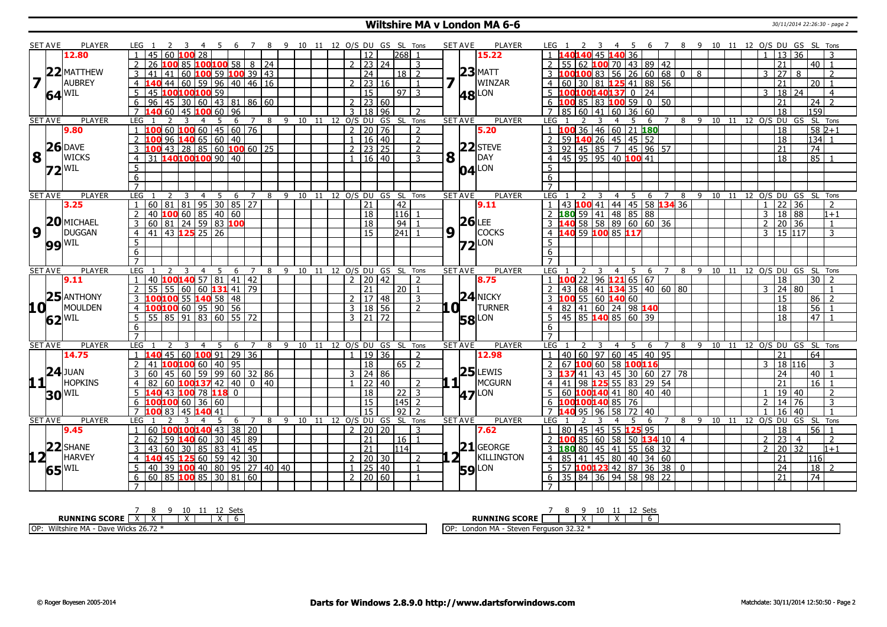## **Wiltshire MA v London MA 6-6** 30/11/2014 22:26:30 - page 2

| 60<br><sup>12</sup><br>2681<br>45<br>36<br>  13   36<br>12.80<br>45<br>15.22<br>1.140140<br>$\mathbf{1}$<br>$100100$ 58   8   24<br> 23 24<br>LOO 85<br>55 62 <b>100</b> 70 43 89 42<br>21<br>$40$   1<br>$\mathcal{P}$<br>3<br>$23$ MATT<br>22 MATTHEW<br>0   100   83   56   26   60   68   0<br>60 $100$ 59 $100$ 39 43<br>24<br>18 l<br>l 8<br>27<br>-2<br>3<br>8<br>2<br>41<br>7<br><b>AUBREY</b><br><b>WINZAR</b><br>  60   59   96   40   46   16<br>$2 \mid 23 \mid 16$<br>4 60 30 81 125 41 88 56<br>21<br>$\overline{20 1}$<br>44<br>$\overline{4}$<br>100 100 100 59<br>5 100100140137 0 24<br>$18 \mid 24$<br>5<br><sup>15</sup><br>$97 \mid 3$<br>3<br>$\overline{4}$<br>$64^{\text{WIL}}$<br>45<br><b>48</b> LON<br>  45   30   60   43   81   86   60<br>6 $100$ 85 83 100 59 0 50<br>$\overline{24}$   2<br>6<br>96<br>2 23 60<br>21<br>60<br>159<br>$\overline{7}$<br>45<br>$100$ 60   96<br>$18$ 96<br>7 85 60 41 60 36 60<br>$\overline{18}$<br>$\mathbf{3}$<br>$\mathcal{D}$<br><b>PLAYER</b><br><b>PLAYER</b><br>8 9 10 11 12 O/S DU GS<br><b>SET AVE</b><br>LEG<br>8 9 10 11 12 0/S DU GS SL Tons<br><b>SET AVE</b><br><b>LEG</b><br>SL Tons<br>$\overline{7}$<br>$7^{\circ}$<br>3<br>4<br>-5<br>6<br>4<br>5<br>6<br>$60$ 100 60 45 60 76<br>$2 \mid 20 \mid 76$<br>1 100 36 46 60 21 180<br>$582+1$<br>100<br>18<br>9.80<br>$\mathbf{1}$<br>$\mathcal{P}$<br>5.20<br>$134$ 1<br>$96$ 140 65 60 40<br>$\overline{2}$ 59 <b>140</b> 26 45 45 52<br>$1 \mid 16 \mid 40$<br>$\overline{z}$<br>$\overline{18}$<br>$\mathcal{P}$<br>$26$ DAVE<br>$22$ STEVE<br>$3$ 92 45 85 7 45 96 57<br>$143$   28   85   60 <b>100</b> 60   25<br>$\sqrt{2}$   23   25<br>74<br>3<br>$\overline{\phantom{a}}$<br>21<br>8<br>8<br>DAY<br>l t<br><b>WICKS</b><br>31 140100100 90 40<br>4 4 5 95 95 40 100 41<br>85<br>$1 \mid 16 \mid 40$<br>3<br>$\overline{18}$<br>$\overline{4}$<br>$5\phantom{.0}$<br>$04$ <sup>LON</sup><br>5<br>$72$ <sup>WIL</sup><br>6<br>6<br>$\overline{7}$<br>9 10 11 12 O/S DU GS SL Tons<br><b>SET AVE</b><br>PLAYER<br>LEG<br>5 <sup>5</sup><br>6<br>8<br><b>SET AVE</b><br><b>PLAYER</b><br><b>LEG</b><br>4 5 6 7 8 9 10 11 12 O/S DU GS SL Tons<br>3<br>$\overline{4}$<br>$\overline{7}$<br>3<br>$60 \ 81 \ 81 \ 95 \ 30 \ 85 \ 27$<br>  43   100   41   44   45   58   134 36<br>$\overline{42}$<br>22 36<br>$\overline{21}$<br>3.25<br>9.11<br>$\mathbf{1}$<br>$\mathcal{P}$<br>$\overline{1}$<br>40 100 60 85 40 60<br>2 180 59 41 48 85 88<br>18 88<br> 18<br> 116 <br>$\overline{3}$<br>$\overline{2}$<br>$1 + 1$<br>$26$ LEE<br>20 MICHAEL<br>3  140  58  58  89  60  60  36<br>3<br>$\overline{18}$<br> 94 <br>$\overline{2}$<br>20 36<br>$\mathbf{1}$<br>$\boldsymbol{9}$<br>$9\sqrt{1}$<br><b>COCKS</b><br><b>DUGGAN</b><br>43 125 25 26<br>241<br>4 140 59 100 85 117<br>15 117<br>15<br>$\mathcal{E}$<br>41<br>3<br>$\overline{4}$<br>$\overline{5}$<br>5<br>$72$ LON<br><b>99 WIL</b><br>6<br>6<br>$\overline{7}$<br><b>PLAYER</b><br>LEG 1<br><b>PLAYER</b><br><b>LEG</b><br>10 11 12 0/S DU GS SL Tons<br><b>SET AVE</b><br>9 10 11 12 O/S DU GS SL Tons<br><b>SET AVE</b><br>$\overline{4}$<br>5<br>6<br>$\overline{7}$<br>8<br>4<br>-5<br>6<br>$\overline{7}$<br>8<br>-9<br>40 100 140 57 81 41 42<br>$1 \overline{100}$ 22 96 121 65 67<br>2   20   42<br>18<br>30<br>9.11<br>$\overline{2}$<br>8.75<br>$\overline{55}$ 60 60 <b>131</b> 41 79<br>24 80<br>55<br>21<br>43 68 41 134 35 40 60 80<br>20 <sub>1</sub><br>3<br>$25$ ANTHONY<br>$24$ NICKY<br>100 <mark>100</mark> 55 <mark>140</mark> 58   48<br>3 100 55 60 140 60<br>86<br>2   17   48<br>3<br>15<br>$\sqrt{2}$<br>3<br><b>TURNER</b><br>10 L<br>MOULDEN<br>100100 60 95 90 56<br>.OI 1<br>4 82 41 60 24 98 140<br>$\overline{56}$<br>3   18   56<br>$\overline{z}$<br>18<br>$\overline{4}$<br>$\frac{1}{83}$ $\frac{1}{60}$ $\frac{1}{55}$ $\frac{1}{72}$<br>$\frac{1}{47}$<br> 85 91 <br>$5 \mid 45 \mid 85$ 140 85 60 39<br>5 <sup>7</sup><br>$\overline{55}$<br>$3 \mid 21 \mid 72$<br>$\overline{18}$<br><b>58</b> LON<br>$62$ <sup>WIL</sup><br>6<br>6<br>$\overline{7}$<br>$\overline{7}$<br><b>PLAYER</b><br>PLAYER<br><b>SET AVE</b><br><b>LEG</b><br><b>SET AVE</b><br>LEG<br>9 10 11 12 O/S DU GS SL Tons<br>8 9 10 11 12 O/S DU GS SL Tons<br>5<br>6<br>$7^{\circ}$<br>8<br>$\overline{4}$<br>- 5<br>6<br>$\overline{7}$<br>3<br>4<br>1 40 60 97 60 45 40 95<br>45<br>$60$ 100 91 29 36<br>19 36<br>$\overline{21}$<br>64<br>2<br>14.75<br>$\mathbf{1}$<br>12.98<br>$\overline{2}$<br>40 95<br> 18 <br>$\overline{2}$<br>18 116<br>LOO <mark>100</mark> 60  <br>  65   2<br>67 100 60<br>58 100116<br>$\mathbf{3}$<br>41<br>3<br>$24$ JUAN<br>$25$ LEWIS<br>$\overline{59}$<br>99 60 32 86<br>3   24   86<br><b>37</b> 41 43 45 30 60 27 78<br>$\overline{24}$<br>3<br>60<br>45<br> 60 <br>40<br>11<br>11<br><b>HOPKINS</b><br>MCGURN<br>16<br>100 137 42 40<br> 22 40<br>$\overline{98}$<br><b>25</b> 55 83 29 54<br>21<br>60<br>0   40<br>$\overline{2}$<br>$\overline{4}$<br>$\overline{18}$<br>$5 60 $ 100140 41 80 40 40<br>19 40<br>140 43 <mark>100</mark> 78 <mark>118</mark> 0<br>$22 \mid 3$<br>2<br>$30^{\text{WIL}}$<br><b>47</b> <sup>LON</sup><br>$\mathbf{1}$<br>100100 60<br> 15 <br> 145 <br>100100140 85 76<br>14<br>$\overline{76}$<br>6<br>36<br>60<br>$\overline{2}$<br>2<br>3<br>6<br>$92$   2<br>$\overline{7}$<br>$\overline{15}$<br>$95 \mid 96$<br>$\overline{58}$ 72 40<br>$\overline{16}$<br>40<br>100 83<br>45 140 41<br>7140<br><b>PLAYER</b><br>9 10 11 12 0/S DU GS SL Tons<br><b>SET AVE</b><br><b>PLAYER</b><br>11 12 0/S DU GS SL Tons<br><b>SET AVE</b><br>LEG<br><b>LEG</b><br>8<br>$9 \t10$<br>5<br>$\overline{7}$<br>8<br>6<br>$\overline{7}$<br>-6<br>1 80 45 45 55 125 95<br>$56$   1<br>60<br>$100100140$ 43 38 20<br>2 20 20<br>18<br>$\mathbf{1}$<br>3<br>7.62<br>9.45<br>59 140 60 <br>85 60 58 50 134 10 4<br>$\overline{23}$<br>62<br>30 45 89<br>  21<br>$\overline{2}$<br>$\overline{2}$<br>l 16 l<br>2100<br>2<br>$\mathbf{1}$<br>$\overline{4}$<br>$22$ SHANE<br>$21$ GEORGE<br>$\boxed{60}$ 30 85 83 41 45<br>20 32<br>21<br> 114 <br>3 <b>180</b> 80 45 41 55 68 32<br>3<br>43<br>$\overline{2}$<br>$1 + 1$<br>12 <sub>1</sub><br><b>HARVEY</b><br>KILLINGTON<br>$12560$ 59 42 30<br>$2 \mid 20 \mid 30$<br>4 85<br>  41   45   80   40   34   60<br>45<br>21<br>$\overline{4}$<br>116<br>$\overline{\phantom{a}}$<br>39<br>$100$ 40 80 95 27 40 40<br>$1 \mid 25 \mid 40$<br>$5 57 $ <b>100123</b> 42 87 36 38 0<br>24<br>$18$   2<br>5<br>40<br><b>59</b> LON<br>$65$ <sup>WIL</sup><br>$\overline{1}$<br>  60   85   <mark>100</mark> 85   30   81   60<br>$6$ 35 84 36 94 58 98 22<br>$\overline{74}$<br>6<br>2 20 60<br>21 | <b>SET AVE</b> | <b>PLAYER</b> | LEG 1 | 56 |  | 7 8 9 10 11 12 O/S DU GS SL Tons |  |  |  | <b>SET AVE</b><br><b>PLAYER</b> | 5 6 7 8 9 10 11 12 O/S DU GS SL Tons<br>LEG 1 |
|-------------------------------------------------------------------------------------------------------------------------------------------------------------------------------------------------------------------------------------------------------------------------------------------------------------------------------------------------------------------------------------------------------------------------------------------------------------------------------------------------------------------------------------------------------------------------------------------------------------------------------------------------------------------------------------------------------------------------------------------------------------------------------------------------------------------------------------------------------------------------------------------------------------------------------------------------------------------------------------------------------------------------------------------------------------------------------------------------------------------------------------------------------------------------------------------------------------------------------------------------------------------------------------------------------------------------------------------------------------------------------------------------------------------------------------------------------------------------------------------------------------------------------------------------------------------------------------------------------------------------------------------------------------------------------------------------------------------------------------------------------------------------------------------------------------------------------------------------------------------------------------------------------------------------------------------------------------------------------------------------------------------------------------------------------------------------------------------------------------------------------------------------------------------------------------------------------------------------------------------------------------------------------------------------------------------------------------------------------------------------------------------------------------------------------------------------------------------------------------------------------------------------------------------------------------------------------------------------------------------------------------------------------------------------------------------------------------------------------------------------------------------------------------------------------------------------------------------------------------------------------------------------------------------------------------------------------------------------------------------------------------------------------------------------------------------------------------------------------------------------------------------------------------------------------------------------------------------------------------------------------------------------------------------------------------------------------------------------------------------------------------------------------------------------------------------------------------------------------------------------------------------------------------------------------------------------------------------------------------------------------------------------------------------------------------------------------------------------------------------------------------------------------------------------------------------------------------------------------------------------------------------------------------------------------------------------------------------------------------------------------------------------------------------------------------------------------------------------------------------------------------------------------------------------------------------------------------------------------------------------------------------------------------------------------------------------------------------------------------------------------------------------------------------------------------------------------------------------------------------------------------------------------------------------------------------------------------------------------------------------------------------------------------------------------------------------------------------------------------------------------------------------------------------------------------------------------------------------------------------------------------------------------------------------------------------------------------------------------------------------------------------------------------------------------------------------------------------------------------------------------------------------------------------------------------------------------------------------------------------------------------------------------------------------------------------------------------------------------------------------------------------------------------------------------------------------------------------------------------------------------------------------------------------------------------------------------------------------------------------------------------------------------------------------------------------------------------------------------------------------------------------------------------------------------------------------------------------------------------------------------------------------------------------------------------------------------------------------------------------------------------------------------------------------------------------------------------------------------------------------------------------------------------------------------------------------------------------------------------------------------------------------------------------------------------------------------------------------------------------------------------------------------------------------------------------------------------------------------------------------------------------------------------------------------------------------------------------------------------------------------------------------------------------------------------------------------------------|----------------|---------------|-------|----|--|----------------------------------|--|--|--|---------------------------------|-----------------------------------------------|
|                                                                                                                                                                                                                                                                                                                                                                                                                                                                                                                                                                                                                                                                                                                                                                                                                                                                                                                                                                                                                                                                                                                                                                                                                                                                                                                                                                                                                                                                                                                                                                                                                                                                                                                                                                                                                                                                                                                                                                                                                                                                                                                                                                                                                                                                                                                                                                                                                                                                                                                                                                                                                                                                                                                                                                                                                                                                                                                                                                                                                                                                                                                                                                                                                                                                                                                                                                                                                                                                                                                                                                                                                                                                                                                                                                                                                                                                                                                                                                                                                                                                                                                                                                                                                                                                                                                                                                                                                                                                                                                                                                                                                                                                                                                                                                                                                                                                                                                                                                                                                                                                                                                                                                                                                                                                                                                                                                                                                                                                                                                                                                                                                                                                                                                                                                                                                                                                                                                                                                                                                                                                                                                                                                                                                                                                                                                                                                                                                                                                                                                                                                                                                                                                                                                   |                |               |       |    |  |                                  |  |  |  |                                 |                                               |
|                                                                                                                                                                                                                                                                                                                                                                                                                                                                                                                                                                                                                                                                                                                                                                                                                                                                                                                                                                                                                                                                                                                                                                                                                                                                                                                                                                                                                                                                                                                                                                                                                                                                                                                                                                                                                                                                                                                                                                                                                                                                                                                                                                                                                                                                                                                                                                                                                                                                                                                                                                                                                                                                                                                                                                                                                                                                                                                                                                                                                                                                                                                                                                                                                                                                                                                                                                                                                                                                                                                                                                                                                                                                                                                                                                                                                                                                                                                                                                                                                                                                                                                                                                                                                                                                                                                                                                                                                                                                                                                                                                                                                                                                                                                                                                                                                                                                                                                                                                                                                                                                                                                                                                                                                                                                                                                                                                                                                                                                                                                                                                                                                                                                                                                                                                                                                                                                                                                                                                                                                                                                                                                                                                                                                                                                                                                                                                                                                                                                                                                                                                                                                                                                                                                   |                |               |       |    |  |                                  |  |  |  |                                 |                                               |
|                                                                                                                                                                                                                                                                                                                                                                                                                                                                                                                                                                                                                                                                                                                                                                                                                                                                                                                                                                                                                                                                                                                                                                                                                                                                                                                                                                                                                                                                                                                                                                                                                                                                                                                                                                                                                                                                                                                                                                                                                                                                                                                                                                                                                                                                                                                                                                                                                                                                                                                                                                                                                                                                                                                                                                                                                                                                                                                                                                                                                                                                                                                                                                                                                                                                                                                                                                                                                                                                                                                                                                                                                                                                                                                                                                                                                                                                                                                                                                                                                                                                                                                                                                                                                                                                                                                                                                                                                                                                                                                                                                                                                                                                                                                                                                                                                                                                                                                                                                                                                                                                                                                                                                                                                                                                                                                                                                                                                                                                                                                                                                                                                                                                                                                                                                                                                                                                                                                                                                                                                                                                                                                                                                                                                                                                                                                                                                                                                                                                                                                                                                                                                                                                                                                   |                |               |       |    |  |                                  |  |  |  |                                 |                                               |
|                                                                                                                                                                                                                                                                                                                                                                                                                                                                                                                                                                                                                                                                                                                                                                                                                                                                                                                                                                                                                                                                                                                                                                                                                                                                                                                                                                                                                                                                                                                                                                                                                                                                                                                                                                                                                                                                                                                                                                                                                                                                                                                                                                                                                                                                                                                                                                                                                                                                                                                                                                                                                                                                                                                                                                                                                                                                                                                                                                                                                                                                                                                                                                                                                                                                                                                                                                                                                                                                                                                                                                                                                                                                                                                                                                                                                                                                                                                                                                                                                                                                                                                                                                                                                                                                                                                                                                                                                                                                                                                                                                                                                                                                                                                                                                                                                                                                                                                                                                                                                                                                                                                                                                                                                                                                                                                                                                                                                                                                                                                                                                                                                                                                                                                                                                                                                                                                                                                                                                                                                                                                                                                                                                                                                                                                                                                                                                                                                                                                                                                                                                                                                                                                                                                   |                |               |       |    |  |                                  |  |  |  |                                 |                                               |
|                                                                                                                                                                                                                                                                                                                                                                                                                                                                                                                                                                                                                                                                                                                                                                                                                                                                                                                                                                                                                                                                                                                                                                                                                                                                                                                                                                                                                                                                                                                                                                                                                                                                                                                                                                                                                                                                                                                                                                                                                                                                                                                                                                                                                                                                                                                                                                                                                                                                                                                                                                                                                                                                                                                                                                                                                                                                                                                                                                                                                                                                                                                                                                                                                                                                                                                                                                                                                                                                                                                                                                                                                                                                                                                                                                                                                                                                                                                                                                                                                                                                                                                                                                                                                                                                                                                                                                                                                                                                                                                                                                                                                                                                                                                                                                                                                                                                                                                                                                                                                                                                                                                                                                                                                                                                                                                                                                                                                                                                                                                                                                                                                                                                                                                                                                                                                                                                                                                                                                                                                                                                                                                                                                                                                                                                                                                                                                                                                                                                                                                                                                                                                                                                                                                   |                |               |       |    |  |                                  |  |  |  |                                 |                                               |
|                                                                                                                                                                                                                                                                                                                                                                                                                                                                                                                                                                                                                                                                                                                                                                                                                                                                                                                                                                                                                                                                                                                                                                                                                                                                                                                                                                                                                                                                                                                                                                                                                                                                                                                                                                                                                                                                                                                                                                                                                                                                                                                                                                                                                                                                                                                                                                                                                                                                                                                                                                                                                                                                                                                                                                                                                                                                                                                                                                                                                                                                                                                                                                                                                                                                                                                                                                                                                                                                                                                                                                                                                                                                                                                                                                                                                                                                                                                                                                                                                                                                                                                                                                                                                                                                                                                                                                                                                                                                                                                                                                                                                                                                                                                                                                                                                                                                                                                                                                                                                                                                                                                                                                                                                                                                                                                                                                                                                                                                                                                                                                                                                                                                                                                                                                                                                                                                                                                                                                                                                                                                                                                                                                                                                                                                                                                                                                                                                                                                                                                                                                                                                                                                                                                   |                |               |       |    |  |                                  |  |  |  |                                 |                                               |
|                                                                                                                                                                                                                                                                                                                                                                                                                                                                                                                                                                                                                                                                                                                                                                                                                                                                                                                                                                                                                                                                                                                                                                                                                                                                                                                                                                                                                                                                                                                                                                                                                                                                                                                                                                                                                                                                                                                                                                                                                                                                                                                                                                                                                                                                                                                                                                                                                                                                                                                                                                                                                                                                                                                                                                                                                                                                                                                                                                                                                                                                                                                                                                                                                                                                                                                                                                                                                                                                                                                                                                                                                                                                                                                                                                                                                                                                                                                                                                                                                                                                                                                                                                                                                                                                                                                                                                                                                                                                                                                                                                                                                                                                                                                                                                                                                                                                                                                                                                                                                                                                                                                                                                                                                                                                                                                                                                                                                                                                                                                                                                                                                                                                                                                                                                                                                                                                                                                                                                                                                                                                                                                                                                                                                                                                                                                                                                                                                                                                                                                                                                                                                                                                                                                   |                |               |       |    |  |                                  |  |  |  |                                 |                                               |
|                                                                                                                                                                                                                                                                                                                                                                                                                                                                                                                                                                                                                                                                                                                                                                                                                                                                                                                                                                                                                                                                                                                                                                                                                                                                                                                                                                                                                                                                                                                                                                                                                                                                                                                                                                                                                                                                                                                                                                                                                                                                                                                                                                                                                                                                                                                                                                                                                                                                                                                                                                                                                                                                                                                                                                                                                                                                                                                                                                                                                                                                                                                                                                                                                                                                                                                                                                                                                                                                                                                                                                                                                                                                                                                                                                                                                                                                                                                                                                                                                                                                                                                                                                                                                                                                                                                                                                                                                                                                                                                                                                                                                                                                                                                                                                                                                                                                                                                                                                                                                                                                                                                                                                                                                                                                                                                                                                                                                                                                                                                                                                                                                                                                                                                                                                                                                                                                                                                                                                                                                                                                                                                                                                                                                                                                                                                                                                                                                                                                                                                                                                                                                                                                                                                   |                |               |       |    |  |                                  |  |  |  |                                 |                                               |
|                                                                                                                                                                                                                                                                                                                                                                                                                                                                                                                                                                                                                                                                                                                                                                                                                                                                                                                                                                                                                                                                                                                                                                                                                                                                                                                                                                                                                                                                                                                                                                                                                                                                                                                                                                                                                                                                                                                                                                                                                                                                                                                                                                                                                                                                                                                                                                                                                                                                                                                                                                                                                                                                                                                                                                                                                                                                                                                                                                                                                                                                                                                                                                                                                                                                                                                                                                                                                                                                                                                                                                                                                                                                                                                                                                                                                                                                                                                                                                                                                                                                                                                                                                                                                                                                                                                                                                                                                                                                                                                                                                                                                                                                                                                                                                                                                                                                                                                                                                                                                                                                                                                                                                                                                                                                                                                                                                                                                                                                                                                                                                                                                                                                                                                                                                                                                                                                                                                                                                                                                                                                                                                                                                                                                                                                                                                                                                                                                                                                                                                                                                                                                                                                                                                   |                |               |       |    |  |                                  |  |  |  |                                 |                                               |
|                                                                                                                                                                                                                                                                                                                                                                                                                                                                                                                                                                                                                                                                                                                                                                                                                                                                                                                                                                                                                                                                                                                                                                                                                                                                                                                                                                                                                                                                                                                                                                                                                                                                                                                                                                                                                                                                                                                                                                                                                                                                                                                                                                                                                                                                                                                                                                                                                                                                                                                                                                                                                                                                                                                                                                                                                                                                                                                                                                                                                                                                                                                                                                                                                                                                                                                                                                                                                                                                                                                                                                                                                                                                                                                                                                                                                                                                                                                                                                                                                                                                                                                                                                                                                                                                                                                                                                                                                                                                                                                                                                                                                                                                                                                                                                                                                                                                                                                                                                                                                                                                                                                                                                                                                                                                                                                                                                                                                                                                                                                                                                                                                                                                                                                                                                                                                                                                                                                                                                                                                                                                                                                                                                                                                                                                                                                                                                                                                                                                                                                                                                                                                                                                                                                   |                |               |       |    |  |                                  |  |  |  |                                 |                                               |
|                                                                                                                                                                                                                                                                                                                                                                                                                                                                                                                                                                                                                                                                                                                                                                                                                                                                                                                                                                                                                                                                                                                                                                                                                                                                                                                                                                                                                                                                                                                                                                                                                                                                                                                                                                                                                                                                                                                                                                                                                                                                                                                                                                                                                                                                                                                                                                                                                                                                                                                                                                                                                                                                                                                                                                                                                                                                                                                                                                                                                                                                                                                                                                                                                                                                                                                                                                                                                                                                                                                                                                                                                                                                                                                                                                                                                                                                                                                                                                                                                                                                                                                                                                                                                                                                                                                                                                                                                                                                                                                                                                                                                                                                                                                                                                                                                                                                                                                                                                                                                                                                                                                                                                                                                                                                                                                                                                                                                                                                                                                                                                                                                                                                                                                                                                                                                                                                                                                                                                                                                                                                                                                                                                                                                                                                                                                                                                                                                                                                                                                                                                                                                                                                                                                   |                |               |       |    |  |                                  |  |  |  |                                 |                                               |
|                                                                                                                                                                                                                                                                                                                                                                                                                                                                                                                                                                                                                                                                                                                                                                                                                                                                                                                                                                                                                                                                                                                                                                                                                                                                                                                                                                                                                                                                                                                                                                                                                                                                                                                                                                                                                                                                                                                                                                                                                                                                                                                                                                                                                                                                                                                                                                                                                                                                                                                                                                                                                                                                                                                                                                                                                                                                                                                                                                                                                                                                                                                                                                                                                                                                                                                                                                                                                                                                                                                                                                                                                                                                                                                                                                                                                                                                                                                                                                                                                                                                                                                                                                                                                                                                                                                                                                                                                                                                                                                                                                                                                                                                                                                                                                                                                                                                                                                                                                                                                                                                                                                                                                                                                                                                                                                                                                                                                                                                                                                                                                                                                                                                                                                                                                                                                                                                                                                                                                                                                                                                                                                                                                                                                                                                                                                                                                                                                                                                                                                                                                                                                                                                                                                   |                |               |       |    |  |                                  |  |  |  |                                 |                                               |
|                                                                                                                                                                                                                                                                                                                                                                                                                                                                                                                                                                                                                                                                                                                                                                                                                                                                                                                                                                                                                                                                                                                                                                                                                                                                                                                                                                                                                                                                                                                                                                                                                                                                                                                                                                                                                                                                                                                                                                                                                                                                                                                                                                                                                                                                                                                                                                                                                                                                                                                                                                                                                                                                                                                                                                                                                                                                                                                                                                                                                                                                                                                                                                                                                                                                                                                                                                                                                                                                                                                                                                                                                                                                                                                                                                                                                                                                                                                                                                                                                                                                                                                                                                                                                                                                                                                                                                                                                                                                                                                                                                                                                                                                                                                                                                                                                                                                                                                                                                                                                                                                                                                                                                                                                                                                                                                                                                                                                                                                                                                                                                                                                                                                                                                                                                                                                                                                                                                                                                                                                                                                                                                                                                                                                                                                                                                                                                                                                                                                                                                                                                                                                                                                                                                   |                |               |       |    |  |                                  |  |  |  |                                 |                                               |
|                                                                                                                                                                                                                                                                                                                                                                                                                                                                                                                                                                                                                                                                                                                                                                                                                                                                                                                                                                                                                                                                                                                                                                                                                                                                                                                                                                                                                                                                                                                                                                                                                                                                                                                                                                                                                                                                                                                                                                                                                                                                                                                                                                                                                                                                                                                                                                                                                                                                                                                                                                                                                                                                                                                                                                                                                                                                                                                                                                                                                                                                                                                                                                                                                                                                                                                                                                                                                                                                                                                                                                                                                                                                                                                                                                                                                                                                                                                                                                                                                                                                                                                                                                                                                                                                                                                                                                                                                                                                                                                                                                                                                                                                                                                                                                                                                                                                                                                                                                                                                                                                                                                                                                                                                                                                                                                                                                                                                                                                                                                                                                                                                                                                                                                                                                                                                                                                                                                                                                                                                                                                                                                                                                                                                                                                                                                                                                                                                                                                                                                                                                                                                                                                                                                   |                |               |       |    |  |                                  |  |  |  |                                 |                                               |
|                                                                                                                                                                                                                                                                                                                                                                                                                                                                                                                                                                                                                                                                                                                                                                                                                                                                                                                                                                                                                                                                                                                                                                                                                                                                                                                                                                                                                                                                                                                                                                                                                                                                                                                                                                                                                                                                                                                                                                                                                                                                                                                                                                                                                                                                                                                                                                                                                                                                                                                                                                                                                                                                                                                                                                                                                                                                                                                                                                                                                                                                                                                                                                                                                                                                                                                                                                                                                                                                                                                                                                                                                                                                                                                                                                                                                                                                                                                                                                                                                                                                                                                                                                                                                                                                                                                                                                                                                                                                                                                                                                                                                                                                                                                                                                                                                                                                                                                                                                                                                                                                                                                                                                                                                                                                                                                                                                                                                                                                                                                                                                                                                                                                                                                                                                                                                                                                                                                                                                                                                                                                                                                                                                                                                                                                                                                                                                                                                                                                                                                                                                                                                                                                                                                   |                |               |       |    |  |                                  |  |  |  |                                 |                                               |
|                                                                                                                                                                                                                                                                                                                                                                                                                                                                                                                                                                                                                                                                                                                                                                                                                                                                                                                                                                                                                                                                                                                                                                                                                                                                                                                                                                                                                                                                                                                                                                                                                                                                                                                                                                                                                                                                                                                                                                                                                                                                                                                                                                                                                                                                                                                                                                                                                                                                                                                                                                                                                                                                                                                                                                                                                                                                                                                                                                                                                                                                                                                                                                                                                                                                                                                                                                                                                                                                                                                                                                                                                                                                                                                                                                                                                                                                                                                                                                                                                                                                                                                                                                                                                                                                                                                                                                                                                                                                                                                                                                                                                                                                                                                                                                                                                                                                                                                                                                                                                                                                                                                                                                                                                                                                                                                                                                                                                                                                                                                                                                                                                                                                                                                                                                                                                                                                                                                                                                                                                                                                                                                                                                                                                                                                                                                                                                                                                                                                                                                                                                                                                                                                                                                   |                |               |       |    |  |                                  |  |  |  |                                 |                                               |
|                                                                                                                                                                                                                                                                                                                                                                                                                                                                                                                                                                                                                                                                                                                                                                                                                                                                                                                                                                                                                                                                                                                                                                                                                                                                                                                                                                                                                                                                                                                                                                                                                                                                                                                                                                                                                                                                                                                                                                                                                                                                                                                                                                                                                                                                                                                                                                                                                                                                                                                                                                                                                                                                                                                                                                                                                                                                                                                                                                                                                                                                                                                                                                                                                                                                                                                                                                                                                                                                                                                                                                                                                                                                                                                                                                                                                                                                                                                                                                                                                                                                                                                                                                                                                                                                                                                                                                                                                                                                                                                                                                                                                                                                                                                                                                                                                                                                                                                                                                                                                                                                                                                                                                                                                                                                                                                                                                                                                                                                                                                                                                                                                                                                                                                                                                                                                                                                                                                                                                                                                                                                                                                                                                                                                                                                                                                                                                                                                                                                                                                                                                                                                                                                                                                   |                |               |       |    |  |                                  |  |  |  |                                 |                                               |
|                                                                                                                                                                                                                                                                                                                                                                                                                                                                                                                                                                                                                                                                                                                                                                                                                                                                                                                                                                                                                                                                                                                                                                                                                                                                                                                                                                                                                                                                                                                                                                                                                                                                                                                                                                                                                                                                                                                                                                                                                                                                                                                                                                                                                                                                                                                                                                                                                                                                                                                                                                                                                                                                                                                                                                                                                                                                                                                                                                                                                                                                                                                                                                                                                                                                                                                                                                                                                                                                                                                                                                                                                                                                                                                                                                                                                                                                                                                                                                                                                                                                                                                                                                                                                                                                                                                                                                                                                                                                                                                                                                                                                                                                                                                                                                                                                                                                                                                                                                                                                                                                                                                                                                                                                                                                                                                                                                                                                                                                                                                                                                                                                                                                                                                                                                                                                                                                                                                                                                                                                                                                                                                                                                                                                                                                                                                                                                                                                                                                                                                                                                                                                                                                                                                   |                |               |       |    |  |                                  |  |  |  |                                 |                                               |
|                                                                                                                                                                                                                                                                                                                                                                                                                                                                                                                                                                                                                                                                                                                                                                                                                                                                                                                                                                                                                                                                                                                                                                                                                                                                                                                                                                                                                                                                                                                                                                                                                                                                                                                                                                                                                                                                                                                                                                                                                                                                                                                                                                                                                                                                                                                                                                                                                                                                                                                                                                                                                                                                                                                                                                                                                                                                                                                                                                                                                                                                                                                                                                                                                                                                                                                                                                                                                                                                                                                                                                                                                                                                                                                                                                                                                                                                                                                                                                                                                                                                                                                                                                                                                                                                                                                                                                                                                                                                                                                                                                                                                                                                                                                                                                                                                                                                                                                                                                                                                                                                                                                                                                                                                                                                                                                                                                                                                                                                                                                                                                                                                                                                                                                                                                                                                                                                                                                                                                                                                                                                                                                                                                                                                                                                                                                                                                                                                                                                                                                                                                                                                                                                                                                   |                |               |       |    |  |                                  |  |  |  |                                 |                                               |
|                                                                                                                                                                                                                                                                                                                                                                                                                                                                                                                                                                                                                                                                                                                                                                                                                                                                                                                                                                                                                                                                                                                                                                                                                                                                                                                                                                                                                                                                                                                                                                                                                                                                                                                                                                                                                                                                                                                                                                                                                                                                                                                                                                                                                                                                                                                                                                                                                                                                                                                                                                                                                                                                                                                                                                                                                                                                                                                                                                                                                                                                                                                                                                                                                                                                                                                                                                                                                                                                                                                                                                                                                                                                                                                                                                                                                                                                                                                                                                                                                                                                                                                                                                                                                                                                                                                                                                                                                                                                                                                                                                                                                                                                                                                                                                                                                                                                                                                                                                                                                                                                                                                                                                                                                                                                                                                                                                                                                                                                                                                                                                                                                                                                                                                                                                                                                                                                                                                                                                                                                                                                                                                                                                                                                                                                                                                                                                                                                                                                                                                                                                                                                                                                                                                   |                |               |       |    |  |                                  |  |  |  |                                 |                                               |
|                                                                                                                                                                                                                                                                                                                                                                                                                                                                                                                                                                                                                                                                                                                                                                                                                                                                                                                                                                                                                                                                                                                                                                                                                                                                                                                                                                                                                                                                                                                                                                                                                                                                                                                                                                                                                                                                                                                                                                                                                                                                                                                                                                                                                                                                                                                                                                                                                                                                                                                                                                                                                                                                                                                                                                                                                                                                                                                                                                                                                                                                                                                                                                                                                                                                                                                                                                                                                                                                                                                                                                                                                                                                                                                                                                                                                                                                                                                                                                                                                                                                                                                                                                                                                                                                                                                                                                                                                                                                                                                                                                                                                                                                                                                                                                                                                                                                                                                                                                                                                                                                                                                                                                                                                                                                                                                                                                                                                                                                                                                                                                                                                                                                                                                                                                                                                                                                                                                                                                                                                                                                                                                                                                                                                                                                                                                                                                                                                                                                                                                                                                                                                                                                                                                   |                |               |       |    |  |                                  |  |  |  |                                 |                                               |
|                                                                                                                                                                                                                                                                                                                                                                                                                                                                                                                                                                                                                                                                                                                                                                                                                                                                                                                                                                                                                                                                                                                                                                                                                                                                                                                                                                                                                                                                                                                                                                                                                                                                                                                                                                                                                                                                                                                                                                                                                                                                                                                                                                                                                                                                                                                                                                                                                                                                                                                                                                                                                                                                                                                                                                                                                                                                                                                                                                                                                                                                                                                                                                                                                                                                                                                                                                                                                                                                                                                                                                                                                                                                                                                                                                                                                                                                                                                                                                                                                                                                                                                                                                                                                                                                                                                                                                                                                                                                                                                                                                                                                                                                                                                                                                                                                                                                                                                                                                                                                                                                                                                                                                                                                                                                                                                                                                                                                                                                                                                                                                                                                                                                                                                                                                                                                                                                                                                                                                                                                                                                                                                                                                                                                                                                                                                                                                                                                                                                                                                                                                                                                                                                                                                   |                |               |       |    |  |                                  |  |  |  |                                 |                                               |
|                                                                                                                                                                                                                                                                                                                                                                                                                                                                                                                                                                                                                                                                                                                                                                                                                                                                                                                                                                                                                                                                                                                                                                                                                                                                                                                                                                                                                                                                                                                                                                                                                                                                                                                                                                                                                                                                                                                                                                                                                                                                                                                                                                                                                                                                                                                                                                                                                                                                                                                                                                                                                                                                                                                                                                                                                                                                                                                                                                                                                                                                                                                                                                                                                                                                                                                                                                                                                                                                                                                                                                                                                                                                                                                                                                                                                                                                                                                                                                                                                                                                                                                                                                                                                                                                                                                                                                                                                                                                                                                                                                                                                                                                                                                                                                                                                                                                                                                                                                                                                                                                                                                                                                                                                                                                                                                                                                                                                                                                                                                                                                                                                                                                                                                                                                                                                                                                                                                                                                                                                                                                                                                                                                                                                                                                                                                                                                                                                                                                                                                                                                                                                                                                                                                   |                |               |       |    |  |                                  |  |  |  |                                 |                                               |
|                                                                                                                                                                                                                                                                                                                                                                                                                                                                                                                                                                                                                                                                                                                                                                                                                                                                                                                                                                                                                                                                                                                                                                                                                                                                                                                                                                                                                                                                                                                                                                                                                                                                                                                                                                                                                                                                                                                                                                                                                                                                                                                                                                                                                                                                                                                                                                                                                                                                                                                                                                                                                                                                                                                                                                                                                                                                                                                                                                                                                                                                                                                                                                                                                                                                                                                                                                                                                                                                                                                                                                                                                                                                                                                                                                                                                                                                                                                                                                                                                                                                                                                                                                                                                                                                                                                                                                                                                                                                                                                                                                                                                                                                                                                                                                                                                                                                                                                                                                                                                                                                                                                                                                                                                                                                                                                                                                                                                                                                                                                                                                                                                                                                                                                                                                                                                                                                                                                                                                                                                                                                                                                                                                                                                                                                                                                                                                                                                                                                                                                                                                                                                                                                                                                   |                |               |       |    |  |                                  |  |  |  |                                 |                                               |
|                                                                                                                                                                                                                                                                                                                                                                                                                                                                                                                                                                                                                                                                                                                                                                                                                                                                                                                                                                                                                                                                                                                                                                                                                                                                                                                                                                                                                                                                                                                                                                                                                                                                                                                                                                                                                                                                                                                                                                                                                                                                                                                                                                                                                                                                                                                                                                                                                                                                                                                                                                                                                                                                                                                                                                                                                                                                                                                                                                                                                                                                                                                                                                                                                                                                                                                                                                                                                                                                                                                                                                                                                                                                                                                                                                                                                                                                                                                                                                                                                                                                                                                                                                                                                                                                                                                                                                                                                                                                                                                                                                                                                                                                                                                                                                                                                                                                                                                                                                                                                                                                                                                                                                                                                                                                                                                                                                                                                                                                                                                                                                                                                                                                                                                                                                                                                                                                                                                                                                                                                                                                                                                                                                                                                                                                                                                                                                                                                                                                                                                                                                                                                                                                                                                   |                |               |       |    |  |                                  |  |  |  |                                 |                                               |
|                                                                                                                                                                                                                                                                                                                                                                                                                                                                                                                                                                                                                                                                                                                                                                                                                                                                                                                                                                                                                                                                                                                                                                                                                                                                                                                                                                                                                                                                                                                                                                                                                                                                                                                                                                                                                                                                                                                                                                                                                                                                                                                                                                                                                                                                                                                                                                                                                                                                                                                                                                                                                                                                                                                                                                                                                                                                                                                                                                                                                                                                                                                                                                                                                                                                                                                                                                                                                                                                                                                                                                                                                                                                                                                                                                                                                                                                                                                                                                                                                                                                                                                                                                                                                                                                                                                                                                                                                                                                                                                                                                                                                                                                                                                                                                                                                                                                                                                                                                                                                                                                                                                                                                                                                                                                                                                                                                                                                                                                                                                                                                                                                                                                                                                                                                                                                                                                                                                                                                                                                                                                                                                                                                                                                                                                                                                                                                                                                                                                                                                                                                                                                                                                                                                   |                |               |       |    |  |                                  |  |  |  |                                 |                                               |
|                                                                                                                                                                                                                                                                                                                                                                                                                                                                                                                                                                                                                                                                                                                                                                                                                                                                                                                                                                                                                                                                                                                                                                                                                                                                                                                                                                                                                                                                                                                                                                                                                                                                                                                                                                                                                                                                                                                                                                                                                                                                                                                                                                                                                                                                                                                                                                                                                                                                                                                                                                                                                                                                                                                                                                                                                                                                                                                                                                                                                                                                                                                                                                                                                                                                                                                                                                                                                                                                                                                                                                                                                                                                                                                                                                                                                                                                                                                                                                                                                                                                                                                                                                                                                                                                                                                                                                                                                                                                                                                                                                                                                                                                                                                                                                                                                                                                                                                                                                                                                                                                                                                                                                                                                                                                                                                                                                                                                                                                                                                                                                                                                                                                                                                                                                                                                                                                                                                                                                                                                                                                                                                                                                                                                                                                                                                                                                                                                                                                                                                                                                                                                                                                                                                   |                |               |       |    |  |                                  |  |  |  |                                 |                                               |
|                                                                                                                                                                                                                                                                                                                                                                                                                                                                                                                                                                                                                                                                                                                                                                                                                                                                                                                                                                                                                                                                                                                                                                                                                                                                                                                                                                                                                                                                                                                                                                                                                                                                                                                                                                                                                                                                                                                                                                                                                                                                                                                                                                                                                                                                                                                                                                                                                                                                                                                                                                                                                                                                                                                                                                                                                                                                                                                                                                                                                                                                                                                                                                                                                                                                                                                                                                                                                                                                                                                                                                                                                                                                                                                                                                                                                                                                                                                                                                                                                                                                                                                                                                                                                                                                                                                                                                                                                                                                                                                                                                                                                                                                                                                                                                                                                                                                                                                                                                                                                                                                                                                                                                                                                                                                                                                                                                                                                                                                                                                                                                                                                                                                                                                                                                                                                                                                                                                                                                                                                                                                                                                                                                                                                                                                                                                                                                                                                                                                                                                                                                                                                                                                                                                   |                |               |       |    |  |                                  |  |  |  |                                 |                                               |
|                                                                                                                                                                                                                                                                                                                                                                                                                                                                                                                                                                                                                                                                                                                                                                                                                                                                                                                                                                                                                                                                                                                                                                                                                                                                                                                                                                                                                                                                                                                                                                                                                                                                                                                                                                                                                                                                                                                                                                                                                                                                                                                                                                                                                                                                                                                                                                                                                                                                                                                                                                                                                                                                                                                                                                                                                                                                                                                                                                                                                                                                                                                                                                                                                                                                                                                                                                                                                                                                                                                                                                                                                                                                                                                                                                                                                                                                                                                                                                                                                                                                                                                                                                                                                                                                                                                                                                                                                                                                                                                                                                                                                                                                                                                                                                                                                                                                                                                                                                                                                                                                                                                                                                                                                                                                                                                                                                                                                                                                                                                                                                                                                                                                                                                                                                                                                                                                                                                                                                                                                                                                                                                                                                                                                                                                                                                                                                                                                                                                                                                                                                                                                                                                                                                   |                |               |       |    |  |                                  |  |  |  |                                 |                                               |
|                                                                                                                                                                                                                                                                                                                                                                                                                                                                                                                                                                                                                                                                                                                                                                                                                                                                                                                                                                                                                                                                                                                                                                                                                                                                                                                                                                                                                                                                                                                                                                                                                                                                                                                                                                                                                                                                                                                                                                                                                                                                                                                                                                                                                                                                                                                                                                                                                                                                                                                                                                                                                                                                                                                                                                                                                                                                                                                                                                                                                                                                                                                                                                                                                                                                                                                                                                                                                                                                                                                                                                                                                                                                                                                                                                                                                                                                                                                                                                                                                                                                                                                                                                                                                                                                                                                                                                                                                                                                                                                                                                                                                                                                                                                                                                                                                                                                                                                                                                                                                                                                                                                                                                                                                                                                                                                                                                                                                                                                                                                                                                                                                                                                                                                                                                                                                                                                                                                                                                                                                                                                                                                                                                                                                                                                                                                                                                                                                                                                                                                                                                                                                                                                                                                   |                |               |       |    |  |                                  |  |  |  |                                 |                                               |
|                                                                                                                                                                                                                                                                                                                                                                                                                                                                                                                                                                                                                                                                                                                                                                                                                                                                                                                                                                                                                                                                                                                                                                                                                                                                                                                                                                                                                                                                                                                                                                                                                                                                                                                                                                                                                                                                                                                                                                                                                                                                                                                                                                                                                                                                                                                                                                                                                                                                                                                                                                                                                                                                                                                                                                                                                                                                                                                                                                                                                                                                                                                                                                                                                                                                                                                                                                                                                                                                                                                                                                                                                                                                                                                                                                                                                                                                                                                                                                                                                                                                                                                                                                                                                                                                                                                                                                                                                                                                                                                                                                                                                                                                                                                                                                                                                                                                                                                                                                                                                                                                                                                                                                                                                                                                                                                                                                                                                                                                                                                                                                                                                                                                                                                                                                                                                                                                                                                                                                                                                                                                                                                                                                                                                                                                                                                                                                                                                                                                                                                                                                                                                                                                                                                   |                |               |       |    |  |                                  |  |  |  |                                 |                                               |
|                                                                                                                                                                                                                                                                                                                                                                                                                                                                                                                                                                                                                                                                                                                                                                                                                                                                                                                                                                                                                                                                                                                                                                                                                                                                                                                                                                                                                                                                                                                                                                                                                                                                                                                                                                                                                                                                                                                                                                                                                                                                                                                                                                                                                                                                                                                                                                                                                                                                                                                                                                                                                                                                                                                                                                                                                                                                                                                                                                                                                                                                                                                                                                                                                                                                                                                                                                                                                                                                                                                                                                                                                                                                                                                                                                                                                                                                                                                                                                                                                                                                                                                                                                                                                                                                                                                                                                                                                                                                                                                                                                                                                                                                                                                                                                                                                                                                                                                                                                                                                                                                                                                                                                                                                                                                                                                                                                                                                                                                                                                                                                                                                                                                                                                                                                                                                                                                                                                                                                                                                                                                                                                                                                                                                                                                                                                                                                                                                                                                                                                                                                                                                                                                                                                   |                |               |       |    |  |                                  |  |  |  |                                 |                                               |
|                                                                                                                                                                                                                                                                                                                                                                                                                                                                                                                                                                                                                                                                                                                                                                                                                                                                                                                                                                                                                                                                                                                                                                                                                                                                                                                                                                                                                                                                                                                                                                                                                                                                                                                                                                                                                                                                                                                                                                                                                                                                                                                                                                                                                                                                                                                                                                                                                                                                                                                                                                                                                                                                                                                                                                                                                                                                                                                                                                                                                                                                                                                                                                                                                                                                                                                                                                                                                                                                                                                                                                                                                                                                                                                                                                                                                                                                                                                                                                                                                                                                                                                                                                                                                                                                                                                                                                                                                                                                                                                                                                                                                                                                                                                                                                                                                                                                                                                                                                                                                                                                                                                                                                                                                                                                                                                                                                                                                                                                                                                                                                                                                                                                                                                                                                                                                                                                                                                                                                                                                                                                                                                                                                                                                                                                                                                                                                                                                                                                                                                                                                                                                                                                                                                   |                |               |       |    |  |                                  |  |  |  |                                 |                                               |
|                                                                                                                                                                                                                                                                                                                                                                                                                                                                                                                                                                                                                                                                                                                                                                                                                                                                                                                                                                                                                                                                                                                                                                                                                                                                                                                                                                                                                                                                                                                                                                                                                                                                                                                                                                                                                                                                                                                                                                                                                                                                                                                                                                                                                                                                                                                                                                                                                                                                                                                                                                                                                                                                                                                                                                                                                                                                                                                                                                                                                                                                                                                                                                                                                                                                                                                                                                                                                                                                                                                                                                                                                                                                                                                                                                                                                                                                                                                                                                                                                                                                                                                                                                                                                                                                                                                                                                                                                                                                                                                                                                                                                                                                                                                                                                                                                                                                                                                                                                                                                                                                                                                                                                                                                                                                                                                                                                                                                                                                                                                                                                                                                                                                                                                                                                                                                                                                                                                                                                                                                                                                                                                                                                                                                                                                                                                                                                                                                                                                                                                                                                                                                                                                                                                   |                |               |       |    |  |                                  |  |  |  |                                 |                                               |
|                                                                                                                                                                                                                                                                                                                                                                                                                                                                                                                                                                                                                                                                                                                                                                                                                                                                                                                                                                                                                                                                                                                                                                                                                                                                                                                                                                                                                                                                                                                                                                                                                                                                                                                                                                                                                                                                                                                                                                                                                                                                                                                                                                                                                                                                                                                                                                                                                                                                                                                                                                                                                                                                                                                                                                                                                                                                                                                                                                                                                                                                                                                                                                                                                                                                                                                                                                                                                                                                                                                                                                                                                                                                                                                                                                                                                                                                                                                                                                                                                                                                                                                                                                                                                                                                                                                                                                                                                                                                                                                                                                                                                                                                                                                                                                                                                                                                                                                                                                                                                                                                                                                                                                                                                                                                                                                                                                                                                                                                                                                                                                                                                                                                                                                                                                                                                                                                                                                                                                                                                                                                                                                                                                                                                                                                                                                                                                                                                                                                                                                                                                                                                                                                                                                   |                |               |       |    |  |                                  |  |  |  |                                 |                                               |
|                                                                                                                                                                                                                                                                                                                                                                                                                                                                                                                                                                                                                                                                                                                                                                                                                                                                                                                                                                                                                                                                                                                                                                                                                                                                                                                                                                                                                                                                                                                                                                                                                                                                                                                                                                                                                                                                                                                                                                                                                                                                                                                                                                                                                                                                                                                                                                                                                                                                                                                                                                                                                                                                                                                                                                                                                                                                                                                                                                                                                                                                                                                                                                                                                                                                                                                                                                                                                                                                                                                                                                                                                                                                                                                                                                                                                                                                                                                                                                                                                                                                                                                                                                                                                                                                                                                                                                                                                                                                                                                                                                                                                                                                                                                                                                                                                                                                                                                                                                                                                                                                                                                                                                                                                                                                                                                                                                                                                                                                                                                                                                                                                                                                                                                                                                                                                                                                                                                                                                                                                                                                                                                                                                                                                                                                                                                                                                                                                                                                                                                                                                                                                                                                                                                   |                |               |       |    |  |                                  |  |  |  |                                 |                                               |
|                                                                                                                                                                                                                                                                                                                                                                                                                                                                                                                                                                                                                                                                                                                                                                                                                                                                                                                                                                                                                                                                                                                                                                                                                                                                                                                                                                                                                                                                                                                                                                                                                                                                                                                                                                                                                                                                                                                                                                                                                                                                                                                                                                                                                                                                                                                                                                                                                                                                                                                                                                                                                                                                                                                                                                                                                                                                                                                                                                                                                                                                                                                                                                                                                                                                                                                                                                                                                                                                                                                                                                                                                                                                                                                                                                                                                                                                                                                                                                                                                                                                                                                                                                                                                                                                                                                                                                                                                                                                                                                                                                                                                                                                                                                                                                                                                                                                                                                                                                                                                                                                                                                                                                                                                                                                                                                                                                                                                                                                                                                                                                                                                                                                                                                                                                                                                                                                                                                                                                                                                                                                                                                                                                                                                                                                                                                                                                                                                                                                                                                                                                                                                                                                                                                   |                |               |       |    |  |                                  |  |  |  |                                 |                                               |
|                                                                                                                                                                                                                                                                                                                                                                                                                                                                                                                                                                                                                                                                                                                                                                                                                                                                                                                                                                                                                                                                                                                                                                                                                                                                                                                                                                                                                                                                                                                                                                                                                                                                                                                                                                                                                                                                                                                                                                                                                                                                                                                                                                                                                                                                                                                                                                                                                                                                                                                                                                                                                                                                                                                                                                                                                                                                                                                                                                                                                                                                                                                                                                                                                                                                                                                                                                                                                                                                                                                                                                                                                                                                                                                                                                                                                                                                                                                                                                                                                                                                                                                                                                                                                                                                                                                                                                                                                                                                                                                                                                                                                                                                                                                                                                                                                                                                                                                                                                                                                                                                                                                                                                                                                                                                                                                                                                                                                                                                                                                                                                                                                                                                                                                                                                                                                                                                                                                                                                                                                                                                                                                                                                                                                                                                                                                                                                                                                                                                                                                                                                                                                                                                                                                   |                |               |       |    |  |                                  |  |  |  |                                 |                                               |
|                                                                                                                                                                                                                                                                                                                                                                                                                                                                                                                                                                                                                                                                                                                                                                                                                                                                                                                                                                                                                                                                                                                                                                                                                                                                                                                                                                                                                                                                                                                                                                                                                                                                                                                                                                                                                                                                                                                                                                                                                                                                                                                                                                                                                                                                                                                                                                                                                                                                                                                                                                                                                                                                                                                                                                                                                                                                                                                                                                                                                                                                                                                                                                                                                                                                                                                                                                                                                                                                                                                                                                                                                                                                                                                                                                                                                                                                                                                                                                                                                                                                                                                                                                                                                                                                                                                                                                                                                                                                                                                                                                                                                                                                                                                                                                                                                                                                                                                                                                                                                                                                                                                                                                                                                                                                                                                                                                                                                                                                                                                                                                                                                                                                                                                                                                                                                                                                                                                                                                                                                                                                                                                                                                                                                                                                                                                                                                                                                                                                                                                                                                                                                                                                                                                   |                |               |       |    |  |                                  |  |  |  |                                 |                                               |
|                                                                                                                                                                                                                                                                                                                                                                                                                                                                                                                                                                                                                                                                                                                                                                                                                                                                                                                                                                                                                                                                                                                                                                                                                                                                                                                                                                                                                                                                                                                                                                                                                                                                                                                                                                                                                                                                                                                                                                                                                                                                                                                                                                                                                                                                                                                                                                                                                                                                                                                                                                                                                                                                                                                                                                                                                                                                                                                                                                                                                                                                                                                                                                                                                                                                                                                                                                                                                                                                                                                                                                                                                                                                                                                                                                                                                                                                                                                                                                                                                                                                                                                                                                                                                                                                                                                                                                                                                                                                                                                                                                                                                                                                                                                                                                                                                                                                                                                                                                                                                                                                                                                                                                                                                                                                                                                                                                                                                                                                                                                                                                                                                                                                                                                                                                                                                                                                                                                                                                                                                                                                                                                                                                                                                                                                                                                                                                                                                                                                                                                                                                                                                                                                                                                   |                |               |       |    |  |                                  |  |  |  |                                 |                                               |
|                                                                                                                                                                                                                                                                                                                                                                                                                                                                                                                                                                                                                                                                                                                                                                                                                                                                                                                                                                                                                                                                                                                                                                                                                                                                                                                                                                                                                                                                                                                                                                                                                                                                                                                                                                                                                                                                                                                                                                                                                                                                                                                                                                                                                                                                                                                                                                                                                                                                                                                                                                                                                                                                                                                                                                                                                                                                                                                                                                                                                                                                                                                                                                                                                                                                                                                                                                                                                                                                                                                                                                                                                                                                                                                                                                                                                                                                                                                                                                                                                                                                                                                                                                                                                                                                                                                                                                                                                                                                                                                                                                                                                                                                                                                                                                                                                                                                                                                                                                                                                                                                                                                                                                                                                                                                                                                                                                                                                                                                                                                                                                                                                                                                                                                                                                                                                                                                                                                                                                                                                                                                                                                                                                                                                                                                                                                                                                                                                                                                                                                                                                                                                                                                                                                   |                |               |       |    |  |                                  |  |  |  |                                 |                                               |
|                                                                                                                                                                                                                                                                                                                                                                                                                                                                                                                                                                                                                                                                                                                                                                                                                                                                                                                                                                                                                                                                                                                                                                                                                                                                                                                                                                                                                                                                                                                                                                                                                                                                                                                                                                                                                                                                                                                                                                                                                                                                                                                                                                                                                                                                                                                                                                                                                                                                                                                                                                                                                                                                                                                                                                                                                                                                                                                                                                                                                                                                                                                                                                                                                                                                                                                                                                                                                                                                                                                                                                                                                                                                                                                                                                                                                                                                                                                                                                                                                                                                                                                                                                                                                                                                                                                                                                                                                                                                                                                                                                                                                                                                                                                                                                                                                                                                                                                                                                                                                                                                                                                                                                                                                                                                                                                                                                                                                                                                                                                                                                                                                                                                                                                                                                                                                                                                                                                                                                                                                                                                                                                                                                                                                                                                                                                                                                                                                                                                                                                                                                                                                                                                                                                   |                |               |       |    |  |                                  |  |  |  |                                 |                                               |
|                                                                                                                                                                                                                                                                                                                                                                                                                                                                                                                                                                                                                                                                                                                                                                                                                                                                                                                                                                                                                                                                                                                                                                                                                                                                                                                                                                                                                                                                                                                                                                                                                                                                                                                                                                                                                                                                                                                                                                                                                                                                                                                                                                                                                                                                                                                                                                                                                                                                                                                                                                                                                                                                                                                                                                                                                                                                                                                                                                                                                                                                                                                                                                                                                                                                                                                                                                                                                                                                                                                                                                                                                                                                                                                                                                                                                                                                                                                                                                                                                                                                                                                                                                                                                                                                                                                                                                                                                                                                                                                                                                                                                                                                                                                                                                                                                                                                                                                                                                                                                                                                                                                                                                                                                                                                                                                                                                                                                                                                                                                                                                                                                                                                                                                                                                                                                                                                                                                                                                                                                                                                                                                                                                                                                                                                                                                                                                                                                                                                                                                                                                                                                                                                                                                   |                |               |       |    |  |                                  |  |  |  |                                 |                                               |
|                                                                                                                                                                                                                                                                                                                                                                                                                                                                                                                                                                                                                                                                                                                                                                                                                                                                                                                                                                                                                                                                                                                                                                                                                                                                                                                                                                                                                                                                                                                                                                                                                                                                                                                                                                                                                                                                                                                                                                                                                                                                                                                                                                                                                                                                                                                                                                                                                                                                                                                                                                                                                                                                                                                                                                                                                                                                                                                                                                                                                                                                                                                                                                                                                                                                                                                                                                                                                                                                                                                                                                                                                                                                                                                                                                                                                                                                                                                                                                                                                                                                                                                                                                                                                                                                                                                                                                                                                                                                                                                                                                                                                                                                                                                                                                                                                                                                                                                                                                                                                                                                                                                                                                                                                                                                                                                                                                                                                                                                                                                                                                                                                                                                                                                                                                                                                                                                                                                                                                                                                                                                                                                                                                                                                                                                                                                                                                                                                                                                                                                                                                                                                                                                                                                   |                |               |       |    |  |                                  |  |  |  |                                 |                                               |
|                                                                                                                                                                                                                                                                                                                                                                                                                                                                                                                                                                                                                                                                                                                                                                                                                                                                                                                                                                                                                                                                                                                                                                                                                                                                                                                                                                                                                                                                                                                                                                                                                                                                                                                                                                                                                                                                                                                                                                                                                                                                                                                                                                                                                                                                                                                                                                                                                                                                                                                                                                                                                                                                                                                                                                                                                                                                                                                                                                                                                                                                                                                                                                                                                                                                                                                                                                                                                                                                                                                                                                                                                                                                                                                                                                                                                                                                                                                                                                                                                                                                                                                                                                                                                                                                                                                                                                                                                                                                                                                                                                                                                                                                                                                                                                                                                                                                                                                                                                                                                                                                                                                                                                                                                                                                                                                                                                                                                                                                                                                                                                                                                                                                                                                                                                                                                                                                                                                                                                                                                                                                                                                                                                                                                                                                                                                                                                                                                                                                                                                                                                                                                                                                                                                   |                |               |       |    |  |                                  |  |  |  |                                 |                                               |
|                                                                                                                                                                                                                                                                                                                                                                                                                                                                                                                                                                                                                                                                                                                                                                                                                                                                                                                                                                                                                                                                                                                                                                                                                                                                                                                                                                                                                                                                                                                                                                                                                                                                                                                                                                                                                                                                                                                                                                                                                                                                                                                                                                                                                                                                                                                                                                                                                                                                                                                                                                                                                                                                                                                                                                                                                                                                                                                                                                                                                                                                                                                                                                                                                                                                                                                                                                                                                                                                                                                                                                                                                                                                                                                                                                                                                                                                                                                                                                                                                                                                                                                                                                                                                                                                                                                                                                                                                                                                                                                                                                                                                                                                                                                                                                                                                                                                                                                                                                                                                                                                                                                                                                                                                                                                                                                                                                                                                                                                                                                                                                                                                                                                                                                                                                                                                                                                                                                                                                                                                                                                                                                                                                                                                                                                                                                                                                                                                                                                                                                                                                                                                                                                                                                   |                |               |       |    |  |                                  |  |  |  |                                 |                                               |
|                                                                                                                                                                                                                                                                                                                                                                                                                                                                                                                                                                                                                                                                                                                                                                                                                                                                                                                                                                                                                                                                                                                                                                                                                                                                                                                                                                                                                                                                                                                                                                                                                                                                                                                                                                                                                                                                                                                                                                                                                                                                                                                                                                                                                                                                                                                                                                                                                                                                                                                                                                                                                                                                                                                                                                                                                                                                                                                                                                                                                                                                                                                                                                                                                                                                                                                                                                                                                                                                                                                                                                                                                                                                                                                                                                                                                                                                                                                                                                                                                                                                                                                                                                                                                                                                                                                                                                                                                                                                                                                                                                                                                                                                                                                                                                                                                                                                                                                                                                                                                                                                                                                                                                                                                                                                                                                                                                                                                                                                                                                                                                                                                                                                                                                                                                                                                                                                                                                                                                                                                                                                                                                                                                                                                                                                                                                                                                                                                                                                                                                                                                                                                                                                                                                   |                |               |       |    |  |                                  |  |  |  |                                 |                                               |
|                                                                                                                                                                                                                                                                                                                                                                                                                                                                                                                                                                                                                                                                                                                                                                                                                                                                                                                                                                                                                                                                                                                                                                                                                                                                                                                                                                                                                                                                                                                                                                                                                                                                                                                                                                                                                                                                                                                                                                                                                                                                                                                                                                                                                                                                                                                                                                                                                                                                                                                                                                                                                                                                                                                                                                                                                                                                                                                                                                                                                                                                                                                                                                                                                                                                                                                                                                                                                                                                                                                                                                                                                                                                                                                                                                                                                                                                                                                                                                                                                                                                                                                                                                                                                                                                                                                                                                                                                                                                                                                                                                                                                                                                                                                                                                                                                                                                                                                                                                                                                                                                                                                                                                                                                                                                                                                                                                                                                                                                                                                                                                                                                                                                                                                                                                                                                                                                                                                                                                                                                                                                                                                                                                                                                                                                                                                                                                                                                                                                                                                                                                                                                                                                                                                   |                |               |       |    |  |                                  |  |  |  |                                 |                                               |

| ັ                                                           | Cat<br>11<br>. ا با ب<br>. .<br>--                                             |
|-------------------------------------------------------------|--------------------------------------------------------------------------------|
| <b>RUNNING SCORE</b><br>$\cdot$<br>$\overline{\phantom{a}}$ | <b>RUNNING SCORE</b>                                                           |
| . 76.72<br>OP:<br>Wiltsh<br>hire MA<br>Dave Wicks 26.72     | $\sim$ $\sim$ MA $\sim$<br>Steven Ferguson 32.32<br>וטי<br><b>I'IA</b><br>LUNU |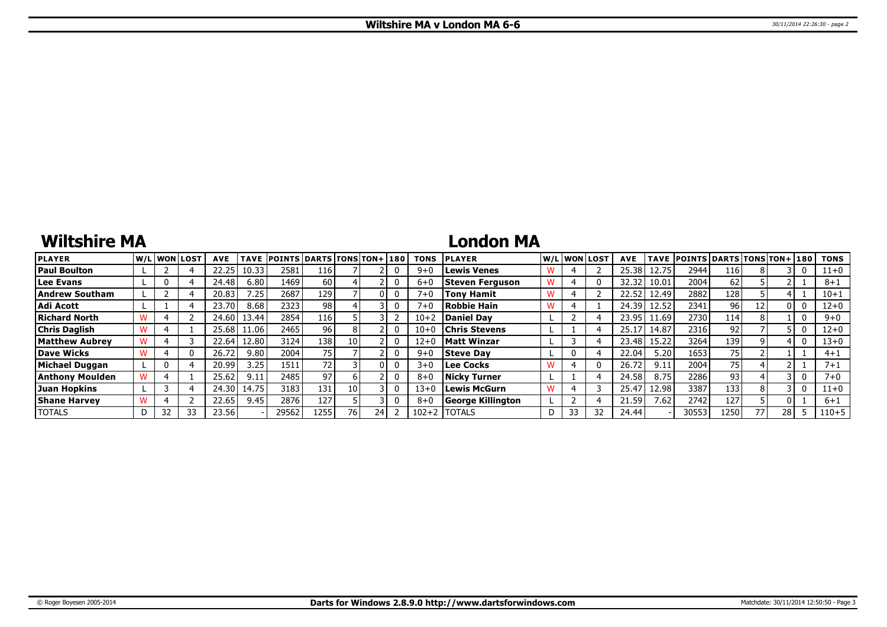# **Wiltshire MA**

## **London MA**

| <b>PLAYER</b>          |   |    | W/L WON LOST | <b>AVE</b> | <b>TAVE</b>     | <b>POINTS DARTS TONS TON+180</b> |      |      |    | <b>TONS</b> | <b>PLAYER</b>          |    | W/L WON LOST | <b>AVE</b> |       | TAVE POINTS DARTS TONS TON+ 180 |                  |    |    |   | <b>TONS</b> |
|------------------------|---|----|--------------|------------|-----------------|----------------------------------|------|------|----|-------------|------------------------|----|--------------|------------|-------|---------------------------------|------------------|----|----|---|-------------|
| <b>Paul Boulton</b>    |   |    |              | 22.25      | 10.33           | 2581                             | 116  |      |    | $9 + C$     | <b>Lewis Venes</b>     |    |              | 25.38      | 12.75 | 2944                            | 116'             |    |    | 0 | $11+0$      |
| Lee Evans              |   |    |              | 24.48      | 6.80            | 1469 l                           | 60 I |      |    | $6 + C$     | <b>Steven Ferguson</b> |    |              | 32.32      | 10.01 | 2004                            | 62               |    |    |   | $8 + 1$     |
| Andrew Southam         |   |    |              | 20.83      | $^{\prime}$ .25 | 2687                             | 129  |      |    | $7 + 0$     | <b>Tony Hamit</b>      |    |              | 22.52      | 12.49 | 2882                            | 128              |    |    |   | $10 + 1$    |
| <b>Adi Acott</b>       |   |    |              | 23.70      | 8.68            | 2323                             | 981  |      |    | $7 + 0$     | Robbie Hain            |    |              | 24.39      | 12.52 | 2341                            | 96               | 12 |    | 0 | $12 + 0$    |
| Richard North          |   |    |              | 24.60      | 13.44           | 2854                             | 116  |      |    | $10 + 2$    | Daniel Dav             |    |              | 23.95      | 11.69 | 2730                            | 114 <sup>7</sup> |    |    | 0 | $9 + 0$     |
| <b>Chris Daglish</b>   |   |    |              | 25.68      | l 1.06 l        | 2465                             | 96 I |      |    | $10 + 0$    | <b>Chris Stevens</b>   |    |              | 25.1       | 14.87 | 2316                            | 92               |    |    | 0 | $12 + 0$    |
| Matthew Aubrev         |   |    |              | 22.64      | 12.80           | 3124                             | 138  | 10 I |    | $12 + 0$    | <b>Matt Winzar</b>     |    |              | 23.48      | 15.22 | 3264                            | 139              |    |    | 0 | $13 + 0$    |
| Dave Wicks             |   |    |              | 26.72      | 9.80            | 2004                             | 75   |      |    | $9 + 0$     | <b>Steve Day</b>       | 0  |              | 22.04      | 5.20  | 1653                            | 75               |    |    |   | $4 + 1$     |
| Michael Duggan         |   | 0  |              | 20.99      | 3.25            | 1511                             | 721  |      |    | $3+0$       | Lee Cocks              |    |              | 26.72      | 9.11  | 2004                            | 75 I             |    |    |   | $7 + 1$     |
| <b>Anthony Moulden</b> |   |    |              | 25.62      | 9.11            | 2485                             | 97   |      |    | $8 + C$     | Nicky Turner           |    |              | 24.58      | 8.75  | 2286                            | 93               |    |    | 0 | $7 + 0$     |
| Juan Hopkins           |   |    |              | 24.30      | 14.75           | 3183                             | 131  | 10 I |    | $13 + 0$    | Lewis McGurn           |    |              | 25.47      | 12.98 | 3387                            | 133              |    |    | 0 | $11+0$      |
| <b>Shane Harvey</b>    |   |    |              | 22.65      | 9.45            | 2876                             | 127  |      |    | $8 + 0$     | George Killington      |    |              | 21.59      | 7.62  | 2742                            | 127              |    |    |   | $6 + 1$     |
| <b>TOTALS</b>          | D | 32 | 33           | 23.56      |                 | 29562                            | 1255 | 761  | 24 | $102 + 2$   | <b>TOTALS</b>          | 33 | 32           | 24.44      |       | 30553                           | 1250             | 77 | 28 |   | $110 + 5$   |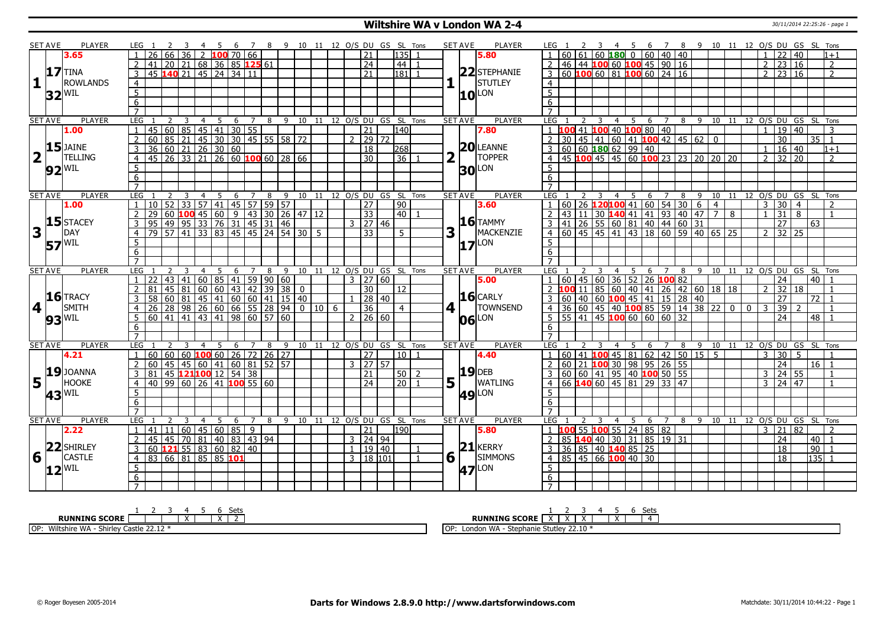## **Wiltshire WA v London WA 2-4** 30/11/2014 22:25:26 - page 1

|                         | <b>SET AVE</b> | <b>PLAYER</b>       | $LEG \t1$        |                 |                 |                 |                |    |                                        |     |     |                                                        |                                                                                                                 |             |   |                      | 4 5 6 7 8 9 10 11 12 O/S DU GS SL Tons |                                |   | <b>SET AVE</b>         | <b>PLAYER</b>     | LEG 1           |                                                                             |   |                         |                |                                          |   |                  |                             |                                                           |                |                | 2 3 4 5 6 7 8 9 10 11 12 O/S DU GS SL Tons |                |                     |                |          |                |
|-------------------------|----------------|---------------------|------------------|-----------------|-----------------|-----------------|----------------|----|----------------------------------------|-----|-----|--------------------------------------------------------|-----------------------------------------------------------------------------------------------------------------|-------------|---|----------------------|----------------------------------------|--------------------------------|---|------------------------|-------------------|-----------------|-----------------------------------------------------------------------------|---|-------------------------|----------------|------------------------------------------|---|------------------|-----------------------------|-----------------------------------------------------------|----------------|----------------|--------------------------------------------|----------------|---------------------|----------------|----------|----------------|
|                         |                | 3.65                |                  | 26              | 66.             | 36 <sup>1</sup> |                |    | $2 \, 100 \, 70 \, 66$                 |     |     |                                                        |                                                                                                                 |             |   | 21                   | 135                                    |                                |   |                        | 5.80              |                 |                                                                             |   |                         |                | $60   61   60$ 180 0 60 40 40            |   |                  |                             |                                                           |                |                |                                            |                | 22                  | 40             |          | $1 + 1$        |
|                         |                |                     |                  | 41              |                 |                 |                |    | $20$   21   68   36   85 <b>125</b> 61 |     |     |                                                        |                                                                                                                 |             |   | $\overline{24}$      | 44                                     |                                |   |                        |                   | <sup>2</sup>    |                                                                             |   |                         |                | 46 44 100 60 100 45 90 16                |   |                  |                             |                                                           |                |                |                                            | $\overline{2}$ | 23 16               |                |          | $\overline{2}$ |
|                         |                | <b>17</b> TINA      | $\overline{3}$   |                 |                 |                 |                |    | 45 140 21 45 24 34 11                  |     |     |                                                        |                                                                                                                 |             |   | $\overline{21}$      | 181                                    |                                |   |                        | 22 STEPHANIE      |                 | $3 60 $ 100 60 81 100 60 24 16                                              |   |                         |                |                                          |   |                  |                             |                                                           |                |                |                                            | $\overline{2}$ | $\frac{1}{23}$ 16   |                |          | $\overline{z}$ |
| 1                       |                | <b>ROWLANDS</b>     | $\overline{4}$   |                 |                 |                 |                |    |                                        |     |     |                                                        |                                                                                                                 |             |   |                      |                                        |                                |   |                        | <b>STUTLEY</b>    | $\overline{4}$  |                                                                             |   |                         |                |                                          |   |                  |                             |                                                           |                |                |                                            |                |                     |                |          |                |
|                         |                |                     | $\overline{5}$   |                 |                 |                 |                |    |                                        |     |     |                                                        |                                                                                                                 |             |   |                      |                                        |                                |   |                        |                   | $\overline{5}$  |                                                                             |   |                         |                |                                          |   |                  |                             |                                                           |                |                |                                            |                |                     |                |          |                |
|                         |                | $32^{ WIL }$        |                  |                 |                 |                 |                |    |                                        |     |     |                                                        |                                                                                                                 |             |   |                      |                                        |                                |   |                        | $10^{\text{LON}}$ |                 |                                                                             |   |                         |                |                                          |   |                  |                             |                                                           |                |                |                                            |                |                     |                |          |                |
|                         |                |                     | 6                |                 |                 |                 |                |    |                                        |     |     |                                                        |                                                                                                                 |             |   |                      |                                        |                                |   |                        |                   | 6               |                                                                             |   |                         |                |                                          |   |                  |                             |                                                           |                |                |                                            |                |                     |                |          |                |
|                         |                |                     | $\overline{7}$   |                 |                 |                 |                |    |                                        |     |     |                                                        |                                                                                                                 |             |   |                      |                                        |                                |   |                        |                   | $\overline{7}$  |                                                                             |   |                         |                |                                          |   |                  |                             |                                                           |                |                |                                            |                |                     |                |          |                |
|                         | <b>SET AVE</b> | <b>PLAYER</b>       | <b>LEG</b>       |                 | 2               | -3              | $\overline{4}$ | 5  |                                        | 6 7 |     |                                                        |                                                                                                                 |             |   |                      |                                        | 8 9 10 11 12 0/S DU GS SL Tons |   | <b>SET AVE</b>         | <b>PLAYER</b>     | LEG             |                                                                             | 2 | $\overline{\mathbf{3}}$ |                |                                          |   |                  |                             |                                                           |                |                | 4 5 6 7 8 9 10 11 12 O/S DU GS SL Tons     |                |                     |                |          |                |
|                         |                | 1.00                | -1               | 45              | 60              |                 |                |    | 85 45 41 30 55                         |     |     |                                                        |                                                                                                                 |             |   | $\overline{21}$      | 140                                    |                                |   |                        | 7.80              |                 | $1 \vert 100 \vert 41 \vert 100 \vert 40 \vert 100 \vert 80 \vert 40$       |   |                         |                |                                          |   |                  |                             |                                                           |                |                |                                            | $\overline{1}$ | 19 40               |                |          | $\mathbf{3}$   |
|                         |                | $15$ JAINE          | 2                | 60              | 85              |                 |                |    |                                        |     |     |                                                        | 21 45 30 30 45 55 58 72                                                                                         |             |   | $2$ 29 72            |                                        |                                |   |                        | $20$ LEANNE       | $\mathcal{P}$   |                                                                             |   |                         |                |                                          |   |                  |                             | $30   45   41   60   41   100   42   45   62   01$        |                |                |                                            |                | $\overline{30}$     |                | 35 1     |                |
|                         |                |                     | $\overline{3}$   |                 |                 |                 |                |    | $\frac{36}{36}$ 60 21 26 30 60         |     |     |                                                        |                                                                                                                 |             |   | $\overline{18}$      | 268                                    |                                |   |                        |                   | $\overline{3}$  |                                                                             |   |                         |                | 60   60   180   62   99   40             |   |                  |                             |                                                           |                |                |                                            | $\mathbf{1}$   | 16 40               |                |          | $1+1$          |
| $\overline{\mathbf{2}}$ |                | <b>TELLING</b>      | $\overline{4}$   |                 |                 |                 |                |    |                                        |     |     |                                                        | $-45$ 26 33 21 26 60 100 60 28 66                                                                               |             |   | $\overline{30}$      | 36                                     |                                | 2 |                        | <b>TOPPER</b>     | $\overline{4}$  |                                                                             |   |                         |                |                                          |   |                  |                             | 45 100 45 45 60 100 23 23 20 20 20                        |                |                |                                            | 2              | 32 20               |                |          |                |
|                         |                | $92^{ WIL }$        | $\overline{5}$   |                 |                 |                 |                |    |                                        |     |     |                                                        |                                                                                                                 |             |   |                      |                                        |                                |   |                        | <b>30 LON</b>     | 5               |                                                                             |   |                         |                |                                          |   |                  |                             |                                                           |                |                |                                            |                |                     |                |          |                |
|                         |                |                     | 6                |                 |                 |                 |                |    |                                        |     |     |                                                        |                                                                                                                 |             |   |                      |                                        |                                |   |                        |                   | 6               |                                                                             |   |                         |                |                                          |   |                  |                             |                                                           |                |                |                                            |                |                     |                |          |                |
|                         |                |                     | $\overline{7}$   |                 |                 |                 |                |    |                                        |     |     |                                                        |                                                                                                                 |             |   |                      |                                        |                                |   |                        |                   |                 |                                                                             |   |                         |                |                                          |   |                  |                             |                                                           |                |                |                                            |                |                     |                |          |                |
|                         | <b>SET AVE</b> | PLAYER              | LEG              |                 |                 |                 | $\overline{4}$ | 5  | 6                                      | 7   | 8   | 9                                                      |                                                                                                                 |             |   |                      | 10 11 12 0/S DU GS SL                  | Tons                           |   | <b>SET AVE</b>         | PLAYER            | <b>LEG</b>      |                                                                             |   |                         | $\overline{4}$ | 5                                        |   | $6 \overline{7}$ | $\overline{8}$              | $9 \quad 10$                                              |                |                | 11 12 0/S DU GS SL Tons                    |                |                     |                |          |                |
|                         |                | 1.00                |                  | 10 <sup>1</sup> | 52              | $\overline{33}$ |                |    |                                        |     |     | $57$   41   45   57   59   57                          |                                                                                                                 |             |   | 27                   | 90                                     |                                |   |                        | 3.60              |                 | 60                                                                          |   |                         |                |                                          |   |                  | 26 120 100 41 60 54 30 6    |                                                           | $\overline{4}$ |                |                                            | 3              | $\overline{30}$     | $\overline{4}$ |          |                |
|                         |                |                     | $\overline{2}$   | $\overline{29}$ |                 |                 |                |    |                                        |     |     |                                                        | 60 <b>100</b> 45 60 9 43 30 26 47 12                                                                            |             |   | 33                   | 140 I                                  |                                |   |                        |                   | 2               |                                                                             |   |                         |                |                                          |   |                  |                             | $43 \overline{)11} \overline{)30}$ 140 41 41 93 40 47 7 8 |                |                |                                            | $\overline{1}$ | $\overline{31}$     | $\overline{8}$ |          | $\overline{1}$ |
|                         |                | $15$ STACEY         | $\overline{3}$   | $95 \vert$      |                 |                 |                |    |                                        |     |     | 49 95 33 76 31 45 31 46                                |                                                                                                                 |             |   | $3 \mid 27 \mid 46$  |                                        |                                |   |                        | $16$ TAMMY        |                 | $3 \mid 41 \mid 26 \mid 55 \mid 60 \mid 81 \mid 40 \mid 44 \mid 60 \mid 31$ |   |                         |                |                                          |   |                  |                             |                                                           |                |                |                                            |                | 27                  |                | 63       |                |
| $\overline{\mathbf{3}}$ |                | DAY                 | $\overline{4}$   | 79              |                 | 57  41          |                |    |                                        |     |     |                                                        | $\overline{33}$ $\overline{83}$ $\overline{45}$ $\overline{45}$ $\overline{24}$ $\overline{54}$ $\overline{30}$ | $5^{\circ}$ |   | $\overline{33}$      | 5 <sup>5</sup>                         |                                | 3 |                        | MACKENZIE         | $\overline{4}$  |                                                                             |   |                         |                |                                          |   |                  |                             | 60 45 45 41 43 18 60 59 40 65 25                          |                |                |                                            | $\overline{2}$ | $32 \mid 25$        |                |          |                |
|                         |                | <b>57 WIL</b>       | $\overline{5}$   |                 |                 |                 |                |    |                                        |     |     |                                                        |                                                                                                                 |             |   |                      |                                        |                                |   | $\mathbf 1$            | LON               | 5               |                                                                             |   |                         |                |                                          |   |                  |                             |                                                           |                |                |                                            |                |                     |                |          |                |
|                         |                |                     | $\overline{6}$   |                 |                 |                 |                |    |                                        |     |     |                                                        |                                                                                                                 |             |   |                      |                                        |                                |   |                        |                   | 6               |                                                                             |   |                         |                |                                          |   |                  |                             |                                                           |                |                |                                            |                |                     |                |          |                |
|                         |                |                     | $\overline{7}$   |                 |                 |                 |                |    |                                        |     |     |                                                        |                                                                                                                 |             |   |                      |                                        |                                |   |                        |                   |                 |                                                                             |   |                         |                |                                          |   |                  |                             |                                                           |                |                |                                            |                |                     |                |          |                |
|                         | <b>SET AVE</b> | <b>PLAYER</b>       | LEG <sub>1</sub> |                 |                 |                 | $\overline{4}$ | -5 | - 6                                    |     | 7 8 |                                                        |                                                                                                                 |             |   |                      | 9 10 11 12 O/S DU GS SL Tons           |                                |   | <b>SET AVE</b>         | <b>PLAYER</b>     | LEG             |                                                                             |   |                         |                |                                          |   |                  |                             |                                                           |                |                | 4 5 6 7 8 9 10 11 12 O/S DU GS SL Tons     |                |                     |                |          |                |
|                         |                |                     | $\overline{1}$   | 22              | 43 <sup>1</sup> | 41              |                |    |                                        |     |     | $60$ 85 41 59 90 60                                    |                                                                                                                 |             |   | $3 \mid 27 \mid 60$  |                                        |                                |   |                        | 5.00              |                 |                                                                             |   |                         |                | $-60$   45   60   36   52   26   100 82  |   |                  |                             |                                                           |                |                |                                            |                | 24                  |                | 40 I     |                |
|                         |                |                     | $\overline{2}$   | 81              |                 |                 |                |    |                                        |     |     | 45 81 60 60 43 42 39 38                                | $\Omega$                                                                                                        |             |   | 30                   | l 12                                   |                                |   |                        |                   |                 |                                                                             |   |                         |                |                                          |   |                  |                             | 100111856040412642601818                                  |                |                |                                            |                | 32 18               |                |          |                |
|                         |                | $16$ TRACY          |                  | 58              | 60 <sup>1</sup> | 81 I            |                |    |                                        |     |     |                                                        | $145$ $ 41$ $ 60$ $ 60$ $ 41$ $ 15$ $ 40$                                                                       |             |   | 28 40                |                                        |                                |   |                        | $16$ CARLY        |                 |                                                                             |   |                         |                |                                          |   |                  | 60 40 60 100 45 41 15 28 40 |                                                           |                |                |                                            |                | 27                  |                | 72       |                |
| 4                       |                | SMITH               | $\overline{4}$   | 26              | $\overline{28}$ |                 |                |    |                                        |     |     | 98 26 60 66 55 28 94                                   |                                                                                                                 | 0 10        | 6 | 36                   | $\overline{4}$                         |                                |   | $4\vert$               | <b>TOWNSEND</b>   | 4 <sup>1</sup>  |                                                                             |   |                         |                |                                          |   |                  |                             | 36 60 45 40 100 85 59 14 38 22                            |                | $\overline{0}$ | $\mathbf{0}$                               | $\overline{3}$ | $\overline{39}$     |                |          |                |
|                         |                | $93^{ WIL }$        | 5                |                 |                 |                 |                |    |                                        |     |     | $\frac{1}{60}$   41   41   43   41   98   60   57   60 |                                                                                                                 |             |   | 2   26   60          |                                        |                                |   | 06                     | LON               |                 | $5   55   41   45   100   60   60   60   32$                                |   |                         |                |                                          |   |                  |                             |                                                           |                |                |                                            |                | $\overline{24}$     |                | 48       |                |
|                         |                |                     | $6\overline{6}$  |                 |                 |                 |                |    |                                        |     |     |                                                        |                                                                                                                 |             |   |                      |                                        |                                |   |                        |                   | 6               |                                                                             |   |                         |                |                                          |   |                  |                             |                                                           |                |                |                                            |                |                     |                |          |                |
|                         |                |                     | $\overline{7}$   |                 |                 |                 |                |    |                                        |     |     |                                                        |                                                                                                                 |             |   |                      |                                        |                                |   |                        |                   | $\overline{7}$  |                                                                             |   |                         |                |                                          |   |                  |                             |                                                           |                |                |                                            |                |                     |                |          |                |
|                         | <b>SET AVE</b> | <b>PLAYER</b>       | LEG              |                 |                 |                 | 4              | -5 | 6                                      | 7   | 8   |                                                        |                                                                                                                 |             |   |                      | 9 10 11 12 O/S DU GS SL Tons           |                                |   | <b>SET AVE</b>         | <b>PLAYER</b>     | <b>LEG</b>      |                                                                             |   |                         | 4              | -5                                       | 6 | 7                | 8                           |                                                           |                |                | 9 10 11 12 0/S DU GS SL Tons               |                |                     |                |          |                |
|                         |                | 4.21                | 1                | 60              | 60              |                 |                |    |                                        |     |     | $60$ 100 60 26 72 26 27                                |                                                                                                                 |             |   | 27                   | 10 <sub>1</sub>                        |                                |   |                        | 4.40              | $1 \quad$       |                                                                             |   |                         |                |                                          |   |                  |                             | $60$ 41 <b>100</b> 45 81 62 42 50 15 5                    |                |                |                                            | 3              | 30                  | -5             |          |                |
|                         |                |                     | 2                | 60              | 45 <sup>1</sup> |                 |                |    |                                        |     |     | 45   60   41   60   81   52   57                       |                                                                                                                 |             |   | $3 \mid 27 \mid 57$  |                                        |                                |   |                        |                   | $\mathcal{P}$   | 60 21 100 30 98 95 26 55                                                    |   |                         |                |                                          |   |                  |                             |                                                           |                |                |                                            |                | 24                  |                | $16$   1 |                |
|                         |                | $19$ JOANNA         | $\overline{3}$   | $\overline{81}$ |                 |                 |                |    | 45 121 100 12 54 38                    |     |     |                                                        |                                                                                                                 |             |   | $\overline{21}$      | $50$   2                               |                                |   |                        | <b>19</b> DEB     | 3               |                                                                             |   |                         |                | $60   60   41   95   40   100   50   55$ |   |                  |                             |                                                           |                |                |                                            | $\overline{3}$ | 24 55               |                |          | $\overline{1}$ |
| 5                       |                | <b>HOOKE</b>        | $\overline{4}$   | 40 l            |                 |                 |                |    | 99 60 26 41 <b>100</b> 55 60           |     |     |                                                        |                                                                                                                 |             |   | $\overline{24}$      | 20                                     |                                |   | $5\vert \bar{1} \vert$ | <b>WATLING</b>    | $\overline{4}$  |                                                                             |   |                         |                | 66 140 60 45 81 29 33 47                 |   |                  |                             |                                                           |                |                |                                            |                | $3 \mid 24 \mid 47$ |                |          | $\overline{1}$ |
|                         |                |                     | $\overline{5}$   |                 |                 |                 |                |    |                                        |     |     |                                                        |                                                                                                                 |             |   |                      |                                        |                                |   |                        |                   | 5               |                                                                             |   |                         |                |                                          |   |                  |                             |                                                           |                |                |                                            |                |                     |                |          |                |
|                         |                | $43$ <sup>WIL</sup> |                  |                 |                 |                 |                |    |                                        |     |     |                                                        |                                                                                                                 |             |   |                      |                                        |                                |   |                        | <b>49 LON</b>     |                 |                                                                             |   |                         |                |                                          |   |                  |                             |                                                           |                |                |                                            |                |                     |                |          |                |
|                         |                |                     | 6                |                 |                 |                 |                |    |                                        |     |     |                                                        |                                                                                                                 |             |   |                      |                                        |                                |   |                        |                   | 6               |                                                                             |   |                         |                |                                          |   |                  |                             |                                                           |                |                |                                            |                |                     |                |          |                |
|                         |                |                     | $\overline{7}$   |                 |                 |                 |                |    |                                        |     |     |                                                        |                                                                                                                 |             |   |                      |                                        |                                |   |                        |                   |                 |                                                                             |   |                         |                |                                          |   |                  |                             |                                                           |                |                |                                            |                |                     |                |          |                |
|                         | <b>SET AVE</b> | PLAYER              | LEG              |                 |                 |                 | $\overline{4}$ | -5 | 6                                      | 7   | 8   |                                                        | 9 10 11 12 O/S DU                                                                                               |             |   |                      | GS SL                                  | Tons                           |   | <b>SET AVE</b>         | <b>PLAYER</b>     | LEG             |                                                                             |   |                         | $\overline{4}$ | - 5                                      |   | 6 7              |                             | 8 9 10 11                                                 |                |                | 12 O/S DU GS SL Tons                       |                |                     |                |          |                |
|                         |                | 2.22                | 1                | 41              | 11 <sup>1</sup> |                 |                |    | 60   45   60   85   9                  |     |     |                                                        |                                                                                                                 |             |   | 21                   | 190                                    |                                |   |                        | 5.80              |                 |                                                                             |   |                         |                | 00 55 100 55 24 85 82                    |   |                  |                             |                                                           |                |                |                                            | 3              | 21                  | l 82           |          |                |
|                         |                |                     | 2                | 45              | 45              |                 |                |    | 70 81 40 83 43 94                      |     |     |                                                        |                                                                                                                 |             |   | 3   24   94          |                                        |                                |   |                        |                   | 2 <sup>1</sup>  | 85 140 40 30 31 85 19 31                                                    |   |                         |                |                                          |   |                  |                             |                                                           |                |                |                                            |                | 24                  |                | $40$   1 |                |
|                         |                | 22 SHIRLEY          | $\overline{3}$   |                 |                 |                 |                |    | 60 <b>121</b> 55 83 60 82 40           |     |     |                                                        |                                                                                                                 |             |   | 1   19   40          |                                        |                                |   |                        | $21$ <b>KERRY</b> | $\overline{3}$  |                                                                             |   |                         |                | 36 85 40 140 85 25                       |   |                  |                             |                                                           |                |                |                                            |                | 18                  |                | 90 1     |                |
| 6                       |                | <b>CASTLE</b>       | $\overline{4}$   |                 |                 |                 |                |    | 83   66   81   85   85   101           |     |     |                                                        |                                                                                                                 |             |   | $3 \mid 18 \mid 101$ |                                        | $\overline{1}$                 |   | $6\sqrt{ }$            | <b>SIMMONS</b>    |                 | $4$ 85 45 66 100 40 30                                                      |   |                         |                |                                          |   |                  |                             |                                                           |                |                |                                            |                | $\overline{18}$     |                | $135$ 1  |                |
|                         |                | $12$ <sup>WIL</sup> | 5                |                 |                 |                 |                |    |                                        |     |     |                                                        |                                                                                                                 |             |   |                      |                                        |                                |   | 47                     | LON               | $\overline{5}$  |                                                                             |   |                         |                |                                          |   |                  |                             |                                                           |                |                |                                            |                |                     |                |          |                |
|                         |                |                     | 6                |                 |                 |                 |                |    |                                        |     |     |                                                        |                                                                                                                 |             |   |                      |                                        |                                |   |                        |                   | $6\overline{6}$ |                                                                             |   |                         |                |                                          |   |                  |                             |                                                           |                |                |                                            |                |                     |                |          |                |
|                         |                |                     | $\overline{7}$   |                 |                 |                 |                |    |                                        |     |     |                                                        |                                                                                                                 |             |   |                      |                                        |                                |   |                        |                   | $\overline{7}$  |                                                                             |   |                         |                |                                          |   |                  |                             |                                                           |                |                |                                            |                |                     |                |          |                |

| <b>Sets</b><br>n<br>ັບປະ                                                                      | Set:                                                                             |
|-----------------------------------------------------------------------------------------------|----------------------------------------------------------------------------------|
| <b>RUNNING SCORE</b><br>.<br>$\lambda$                                                        | <b>NING SCORE</b><br>RUI                                                         |
| <b>OP</b><br>nire WA<br><b>A</b><br>Castle<br>$\ldots$ . while $\sim$ $\sim$<br>. .<br>___.__ | 22.10<br><b>1818</b><br>e Stutlev<br>10i<br>suephanie <sup>em</sup><br>London WA |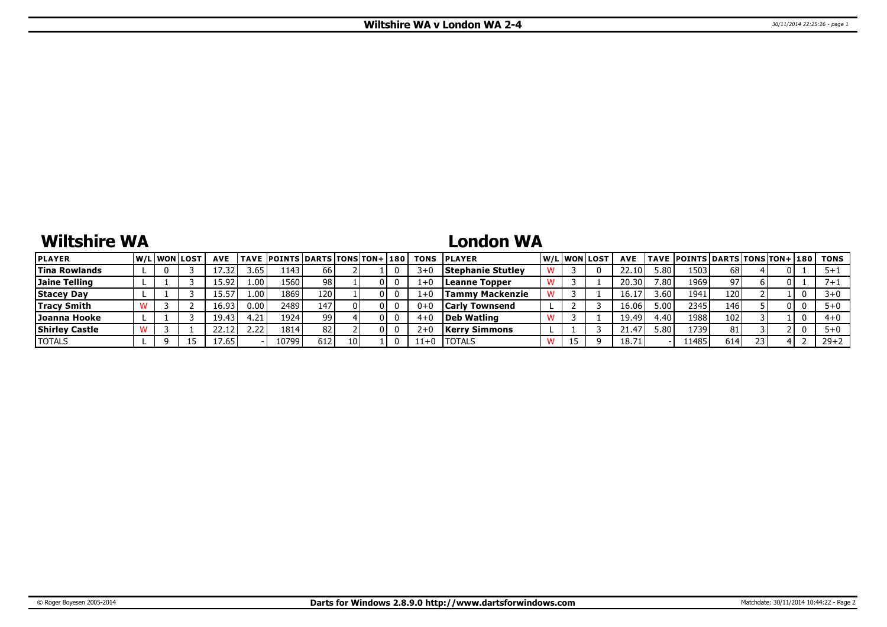# **Wiltshire WA**

# **London WA**

| <b>PLAYER</b>         |  | <b>W/Liwonilost</b> | <b>AVE</b> |      | TAVE POINTS DARTS TONS TON+ 180 |     |      |  | <b>TONS</b> | <b>IPLAYER</b>           |    | W/Liwonilost | <b>AVE</b>     |       | <b>TAVE POINTS DARTS TONS TON+ 180</b> |     |    |    | TONS     |
|-----------------------|--|---------------------|------------|------|---------------------------------|-----|------|--|-------------|--------------------------|----|--------------|----------------|-------|----------------------------------------|-----|----|----|----------|
| <b>Tina Rowlands</b>  |  |                     |            | 3.65 | 1143'                           | 66  |      |  | 3+          | <b>Stephanie Stutley</b> |    |              |                | 5.80  | 1503                                   | 68  |    |    |          |
| Jaine Telling         |  |                     | 15.92      | 1.00 | 1560 l                          | 98  |      |  |             | Leanne Topper            |    |              | 20.30          | 7.80. | 1969                                   | 97. |    |    |          |
| <b>Stacey Day</b>     |  |                     |            | 1.00 | 1869                            | 120 |      |  |             | <b>Tammy Mackenzie</b>   |    |              | $16.1^{\circ}$ | 3.60  | 194:                                   | 120 |    |    |          |
| <b>Tracy Smith</b>    |  |                     | 16.93      | 0.00 | 2489                            | 147 |      |  |             | <b>Carly Townsend</b>    |    |              | 16.06          | 5.00  | 2345                                   | 146 |    | 01 |          |
| Joanna Hooke          |  |                     | 19.43      | 4.21 | 1924                            | 99  |      |  |             | Deb Watling              |    |              | 19.49          | : 40  | 1988                                   | 102 |    |    | $4 + 0$  |
| <b>Shirley Castle</b> |  |                     |            | 2.22 | 1814                            | 82  |      |  |             | Kerry Simmons            |    |              | 41.47          | 5.80  | 1739                                   | 81  |    |    |          |
| <b>TOTALS</b>         |  |                     | 17.65      |      | 10799                           | 612 | 10 I |  | $11+0$      | <b>ITOTALS</b>           | 15 |              | 18.7.          |       | 11485                                  | 614 | 23 |    | $29 + 2$ |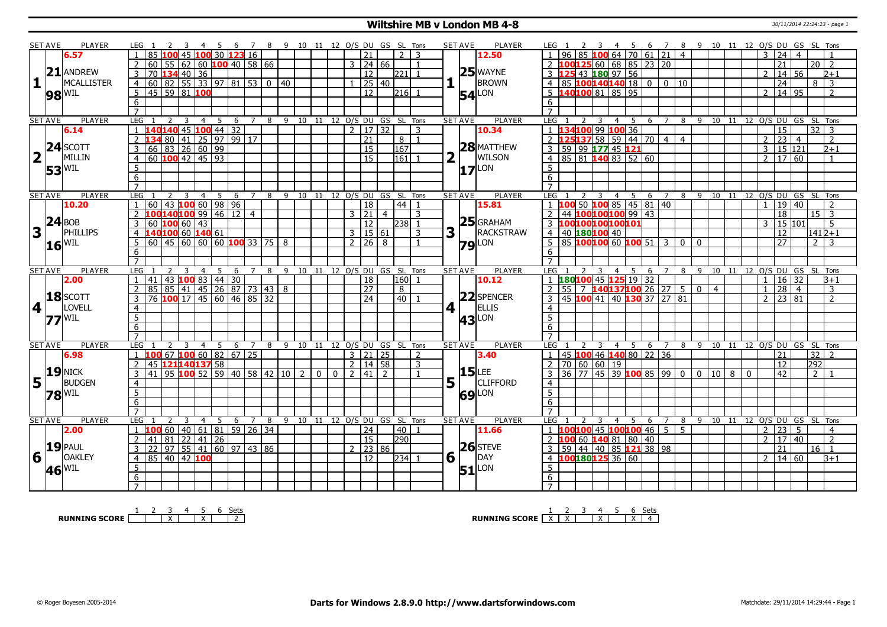#### **Wiltshire MB v London MB 4-8** 30/11/2014 22:24:23 - page 1

|                         | <b>SET AVE</b>  | <b>PLAYER</b>              | LEG 1                                                         |                                                                                                | 4                                | - 5   |               |                |                                                       | 6 7 8 9 10 11 12 O/S DU GS SL Tons                           |    |                              |                  |                     |                |                         |                |                       | PLAYER<br><b>SET AVE</b>        | LEG 1                                                             | 45       |                |   | 6 7 8 9 10 11 12 O/S DU GS SL Tons |    |                |                |                       |                 |                |
|-------------------------|-----------------|----------------------------|---------------------------------------------------------------|------------------------------------------------------------------------------------------------|----------------------------------|-------|---------------|----------------|-------------------------------------------------------|--------------------------------------------------------------|----|------------------------------|------------------|---------------------|----------------|-------------------------|----------------|-----------------------|---------------------------------|-------------------------------------------------------------------|----------|----------------|---|------------------------------------|----|----------------|----------------|-----------------------|-----------------|----------------|
|                         |                 | 6.57                       | $\overline{1}$                                                | 85 <b>100</b>                                                                                  | $\overline{45}$                  |       | 100 30 123 16 |                |                                                       |                                                              |    |                              |                  | 21                  |                | $\overline{2}$          | -3             |                       | 12.50                           | 85   100 64   70   61   21   4<br>96                              |          |                |   |                                    |    |                | 3              | $\overline{24}$       | $\overline{4}$  |                |
|                         |                 |                            | 2<br>60                                                       |                                                                                                | 55 62 60 <b>100</b> 40 58 66     |       |               |                |                                                       |                                                              |    |                              |                  | $3 \mid 24 \mid 66$ |                |                         | $\mathbf{1}$   |                       |                                 | 1001256068852320                                                  |          |                |   |                                    |    |                |                | 21                    | 20 I            | $\overline{z}$ |
|                         |                 | 21 ANDREW                  | $\overline{3}$                                                | 70 134                                                                                         | $40 \ 36$                        |       |               |                |                                                       |                                                              |    |                              |                  | $\overline{12}$     |                | 2211                    |                |                       | $25$ WAYNE                      | 5 43 180 97 56                                                    |          |                |   |                                    |    |                | $\mathcal{P}$  | 14                    | 56              | $2 + 1$        |
|                         | $1\overline{1}$ | <b>MCALLISTER</b>          |                                                               |                                                                                                |                                  |       |               |                |                                                       |                                                              |    |                              |                  |                     |                |                         |                |                       |                                 |                                                                   |          |                |   |                                    |    |                |                |                       |                 |                |
|                         |                 |                            | $\overline{4}$                                                | 60 82 55 33 97 81 53                                                                           |                                  |       |               |                | $\begin{array}{ c c c }\n\hline\n0 & 40\n\end{array}$ |                                                              |    |                              |                  | 25 40               |                |                         |                |                       | <b>BROWN</b>                    | 85 100 140 140 18 0 0 10<br>4 <sup>1</sup>                        |          |                |   |                                    |    |                |                | $\overline{24}$       | 8               | $\overline{3}$ |
|                         |                 | $98^{\rm [WIL]}$           | 5                                                             | 45 59 81 100                                                                                   |                                  |       |               |                |                                                       |                                                              |    |                              |                  | 12                  |                | 216 I                   |                |                       | $54$ <sup>LON</sup>             | 40100 81 85 95                                                    |          |                |   |                                    |    |                | $\overline{2}$ | 14 95                 |                 | $\overline{2}$ |
|                         |                 |                            | 6                                                             |                                                                                                |                                  |       |               |                |                                                       |                                                              |    |                              |                  |                     |                |                         |                |                       |                                 | 6                                                                 |          |                |   |                                    |    |                |                |                       |                 |                |
|                         |                 |                            | $\overline{7}$                                                |                                                                                                |                                  |       |               |                |                                                       |                                                              |    |                              |                  |                     |                |                         |                |                       |                                 |                                                                   |          |                |   |                                    |    |                |                |                       |                 |                |
|                         | <b>SET AVE</b>  | <b>PLAYER</b>              | LEG                                                           |                                                                                                | 3<br>$\overline{4}$              | -5    | -6            | $\overline{7}$ | 8                                                     | 9 10 11 12 O/S DU GS SL Tons                                 |    |                              |                  |                     |                |                         |                |                       | <b>SET AVE</b><br><b>PLAYER</b> | LEG<br>$\overline{4}$                                             | 5<br>6   | $\overline{7}$ |   | 8 9 10 11 12 O/S DU GS SL Tons     |    |                |                |                       |                 |                |
|                         |                 | 6.14                       |                                                               | 140                                                                                            | 45                               |       | $100$ 44 32   |                |                                                       |                                                              |    |                              | $\overline{2}$ . | 17 32               |                |                         | 3              |                       | 10.34                           | 99 100 36<br>34100                                                |          |                |   |                                    |    |                |                | $\overline{15}$       | $\overline{32}$ | 3              |
|                         |                 |                            | 2                                                             |                                                                                                |                                  |       |               |                |                                                       |                                                              |    |                              |                  | $\overline{21}$     |                | 8                       | $\overline{1}$ |                       |                                 | <b>125137</b> 58 59 44 70 4 4<br>59 99 <b>177</b> 45 <b>121</b>   |          |                |   |                                    |    |                | 2              | $\overline{23}$       | $\overline{4}$  | 2              |
|                         | 24              | SCOTT                      | $\overline{3}$                                                |                                                                                                |                                  |       |               |                |                                                       |                                                              |    |                              |                  | $\overline{15}$     |                | 167                     |                |                       | $28$ MATTHEW                    | $\overline{\phantom{a}3}$                                         |          |                |   |                                    |    |                | 3 I            | 15 121                |                 | $2+1$          |
| $\overline{\mathbf{2}}$ | l I             | MILLIN                     | $\overline{4}$                                                |                                                                                                |                                  |       |               |                |                                                       |                                                              |    |                              |                  | 15                  |                | 161                     |                | 2                     | <b>WILSON</b>                   | $85 \overline{)81}$ 140 83 52 60<br>$\overline{4}$                |          |                |   |                                    |    |                | $\overline{2}$ | 17 60                 |                 | $\overline{1}$ |
|                         | 53              | WIL                        | 5                                                             |                                                                                                |                                  |       |               |                |                                                       |                                                              |    |                              |                  |                     |                |                         |                |                       | LON<br> 17                      | 5                                                                 |          |                |   |                                    |    |                |                |                       |                 |                |
|                         |                 |                            | 6                                                             |                                                                                                |                                  |       |               |                |                                                       |                                                              |    |                              |                  |                     |                |                         |                |                       |                                 | 6                                                                 |          |                |   |                                    |    |                |                |                       |                 |                |
|                         |                 |                            | $\overline{7}$                                                |                                                                                                |                                  |       |               |                |                                                       |                                                              |    |                              |                  |                     |                |                         |                |                       |                                 | $\overline{7}$                                                    |          |                |   |                                    |    |                |                |                       |                 |                |
|                         | <b>SET AVE</b>  | <b>PLAYER</b>              | <b>LEG</b>                                                    | $\overline{2}$                                                                                 | 3<br>$\overline{4}$              | - 5   | - 6           |                | 78                                                    | 9 10 11 12 O/S DU GS SL Tons                                 |    |                              |                  |                     |                |                         |                |                       | <b>SET AVE</b><br><b>PLAYER</b> | LEG 1<br>$\overline{4}$                                           | $-5$     |                |   | 6 7 8 9 10 11 12 O/S DU GS SL Tons |    |                |                |                       |                 |                |
|                         |                 | 10.20                      | $\overline{1}$                                                | 60   43 <mark>100</mark> 60   98   96                                                          |                                  |       |               |                |                                                       |                                                              |    |                              |                  | 18                  |                | 44                      | $\overline{1}$ |                       | 15.81                           | 50 $10085$ 45 81 40<br>1100                                       |          |                |   |                                    |    |                | $\mathbf{1}$   | 19 40                 |                 | $\overline{2}$ |
|                         |                 |                            | $\overline{2}$                                                | 100140100 99 46 12                                                                             |                                  |       |               | $\overline{4}$ |                                                       |                                                              |    |                              |                  | 3 21                | $\overline{4}$ |                         | 3              |                       |                                 | 44 100 100 100 99 43<br>$\overline{2}$                            |          |                |   |                                    |    |                |                | 18                    | 15              | $\overline{3}$ |
|                         | 24              | BOB                        |                                                               | 60 $100$ 60 43                                                                                 |                                  |       |               |                |                                                       |                                                              |    |                              |                  | $\overline{12}$     |                | 238                     |                |                       | $25$ GRAHAM                     | 3 100100100100101                                                 |          |                |   |                                    |    |                | 3              | 15 101                |                 | $\overline{5}$ |
| 3                       |                 | PHILLIPS                   |                                                               | 140100 60 140 61                                                                               |                                  |       |               |                |                                                       |                                                              |    |                              |                  | 3   15   61         |                |                         |                | $3\sqrt{1}$           | RACKSTRAW                       | 40 180 100 40                                                     |          |                |   |                                    |    |                |                |                       |                 | 141 2+1        |
|                         |                 |                            | 4                                                             | $\boxed{60}$ $\boxed{45}$ $\boxed{60}$ $\boxed{60}$ $\boxed{60}$ $\boxed{100}$ 33 $\boxed{75}$ |                                  |       |               |                |                                                       |                                                              |    |                              |                  |                     |                |                         | 3              |                       |                                 | $\overline{4}$<br>85 100100 60 100 51 3 0 0                       |          |                |   |                                    |    |                |                | 12<br>$\overline{27}$ | $\overline{2}$  |                |
|                         |                 | $16$ <sup>WIL</sup>        | 5                                                             |                                                                                                |                                  |       |               |                |                                                       | 8                                                            |    |                              |                  | 2   26   8          |                |                         |                |                       | <b>79</b> LON                   | $5^{\circ}$                                                       |          |                |   |                                    |    |                |                |                       |                 |                |
|                         |                 |                            | 6                                                             |                                                                                                |                                  |       |               |                |                                                       |                                                              |    |                              |                  |                     |                |                         |                |                       |                                 | 6                                                                 |          |                |   |                                    |    |                |                |                       |                 |                |
|                         |                 |                            | $\overline{7}$                                                |                                                                                                |                                  |       |               |                |                                                       |                                                              |    |                              |                  |                     |                |                         |                |                       |                                 | $\overline{7}$                                                    |          |                |   |                                    |    |                |                |                       |                 |                |
|                         |                 |                            |                                                               |                                                                                                |                                  |       |               |                |                                                       |                                                              |    |                              |                  |                     |                |                         |                |                       |                                 |                                                                   |          |                |   |                                    |    |                |                |                       |                 |                |
|                         | <b>SET AVE</b>  | <b>PLAYER</b>              | <b>LEG</b>                                                    |                                                                                                | 4                                | 5     | 6             |                |                                                       | 9                                                            | 10 |                              |                  |                     |                | 11 12 O/S DU GS SL Tons |                |                       | <b>SET AVE</b><br><b>PLAYER</b> | LEG<br>4                                                          | 5<br>6   | 7              | 8 | 9<br>10                            | 11 |                |                |                       | 12 O/S DU GS SL | Tons           |
|                         |                 | 2.00                       | $\overline{1}$                                                |                                                                                                |                                  |       |               |                |                                                       |                                                              |    |                              |                  | 18                  |                | 160                     |                |                       | 10.12                           | $\overline{1}$                                                    |          |                |   |                                    |    |                |                | 16                    | 32              | $B+1$          |
|                         |                 |                            | $\overline{2}$                                                | 41 43 <b>100</b> 83 44 30<br>85 85 41 45 26 87 73 43                                           |                                  |       |               |                |                                                       | 8                                                            |    |                              |                  | 27                  |                | 8                       |                |                       |                                 | 180100 45 125 19 32<br>55 7 140137100 26 27 5 0<br>$\overline{z}$ |          |                |   | $\overline{4}$                     |    |                | $\mathbf{1}$   | 28                    | $\overline{4}$  | $\overline{3}$ |
|                         |                 | $18$ SCOTT                 | $\overline{3}$                                                | 76 100 17 45 60 46 85 32                                                                       |                                  |       |               |                |                                                       |                                                              |    |                              |                  | 24                  |                | 40                      |                |                       | 22 SPENCER                      | 45 100 41 40 130 37 27 81<br>3                                    |          |                |   |                                    |    |                | $\mathcal{L}$  | $\overline{23}$<br>81 |                 | $\overline{2}$ |
|                         | 4 <sup>1</sup>  | LOVELL                     | $\overline{4}$                                                |                                                                                                |                                  |       |               |                |                                                       |                                                              |    |                              |                  |                     |                |                         |                | 4 1                   | ELLIS                           | $\overline{4}$                                                    |          |                |   |                                    |    |                |                |                       |                 |                |
|                         |                 | WIL                        | $\overline{5}$                                                |                                                                                                |                                  |       |               |                |                                                       |                                                              |    |                              |                  |                     |                |                         |                |                       | LON                             | $\overline{5}$                                                    |          |                |   |                                    |    |                |                |                       |                 |                |
|                         | 77              |                            | 6                                                             |                                                                                                |                                  |       |               |                |                                                       |                                                              |    |                              |                  |                     |                |                         |                |                       | 43                              | $6 \overline{6}$                                                  |          |                |   |                                    |    |                |                |                       |                 |                |
|                         |                 |                            | $\overline{7}$                                                |                                                                                                |                                  |       |               |                |                                                       |                                                              |    |                              |                  |                     |                |                         |                |                       |                                 |                                                                   |          |                |   |                                    |    |                |                |                       |                 |                |
|                         | <b>SET AVE</b>  | <b>PLAYER</b>              | LEG                                                           |                                                                                                | 3<br>$\overline{4}$              | -5    | 6             | $\overline{7}$ | 8                                                     | 9                                                            |    | 10 11 12 O/S DU GS SL Tons   |                  |                     |                |                         |                |                       | <b>SET AVE</b><br><b>PLAYER</b> | <b>LEG</b><br>3                                                   | 4 5      | 6 7            | 8 | 9 10 11 12 0/S DU GS SL Tons       |    |                |                |                       |                 |                |
|                         |                 | 6.98                       | $1 \mid 100 \mid 67 \mid 100 \mid 60 \mid 82 \mid 67 \mid 25$ |                                                                                                |                                  |       |               |                |                                                       |                                                              |    |                              |                  | 3   21   25         |                |                         | 2              |                       | 3.40                            | 45 100 46 140 80 22 36<br>$\overline{1}$                          |          |                |   |                                    |    |                |                | 21                    | 32              | $\overline{2}$ |
|                         |                 |                            |                                                               | 45 121140137 58                                                                                |                                  |       |               |                |                                                       |                                                              |    |                              |                  | $2 \mid 14 \mid 58$ |                |                         | 3              |                       |                                 | 70 60 60 19                                                       |          |                |   |                                    |    |                |                | 12                    | 292             |                |
|                         |                 |                            | $\overline{3}$                                                |                                                                                                |                                  |       |               |                |                                                       | 41   95   <mark>100</mark>   52   59   40   58   42   10   2 |    | $\mathbf{0}$<br>$\mathbf{0}$ |                  | 2  41  2            |                |                         |                |                       | $15$ LEE                        | 3                                                                 |          |                |   |                                    |    | $\overline{0}$ |                | $\overline{42}$       | 2 l             |                |
|                         |                 | $19$ NICK<br><b>BUDGEN</b> | $\overline{4}$                                                |                                                                                                |                                  |       |               |                |                                                       |                                                              |    |                              |                  |                     |                |                         |                |                       | CLIFFORD                        | $36\overline{77}$ 45 39 100 85 99 0 0 10 10 8<br>$\overline{4}$   |          |                |   |                                    |    |                |                |                       |                 |                |
|                         | $5\vert$        |                            |                                                               |                                                                                                |                                  |       |               |                |                                                       |                                                              |    |                              |                  |                     |                |                         |                | $5\vert$ <sup>T</sup> |                                 | 5                                                                 |          |                |   |                                    |    |                |                |                       |                 |                |
|                         |                 | <b>78 WIL</b>              | 5                                                             |                                                                                                |                                  |       |               |                |                                                       |                                                              |    |                              |                  |                     |                |                         |                |                       | 69 LON                          |                                                                   |          |                |   |                                    |    |                |                |                       |                 |                |
|                         |                 |                            | 6                                                             |                                                                                                |                                  |       |               |                |                                                       |                                                              |    |                              |                  |                     |                |                         |                |                       |                                 | 6<br>$\overline{7}$                                               |          |                |   |                                    |    |                |                |                       |                 |                |
|                         |                 |                            | $\overline{7}$                                                | $\overline{2}$                                                                                 |                                  |       |               |                |                                                       |                                                              |    |                              |                  |                     |                |                         |                |                       |                                 |                                                                   |          |                |   |                                    |    |                |                |                       |                 |                |
|                         | <b>SET AVE</b>  | PLAYER                     | LEG                                                           |                                                                                                | 3<br>$\overline{4}$              | 5     | 6             | $7^{\circ}$    | 8                                                     | 9 10 11 12 O/S DU GS SL Tons                                 |    |                              |                  |                     |                |                         |                |                       | <b>SET AVE</b><br><b>PLAYER</b> | LEG<br>4                                                          | - 5<br>6 | $\overline{7}$ | 8 | 9 10 11 12 O/S DU GS SL Tons       |    |                |                |                       |                 |                |
|                         |                 | 2.00                       | 1<br>100                                                      |                                                                                                | 60   40   61   81   59   26   34 |       |               |                |                                                       |                                                              |    |                              |                  | 24                  |                | l 40 l                  |                |                       | 11.66                           | $100 100 $ 45 $100 100 $ 46   5   5<br>$\overline{1}$             |          |                |   |                                    |    |                | $2 \mid 23$    |                       | 5 <sup>5</sup>  | $\overline{4}$ |
|                         |                 |                            | 2<br>41                                                       | $ 81\rangle$                                                                                   | $\overline{22}$                  | 41 26 |               |                |                                                       |                                                              |    |                              |                  | 15                  |                | 290                     |                |                       |                                 | 60 140 81 80 40                                                   |          |                |   |                                    |    |                | $\overline{2}$ | 17                    | 40              | $\overline{2}$ |
|                         |                 | $19$ PAUL                  | $\overline{3}$                                                | 22 97 55 41 60 97 43 86                                                                        |                                  |       |               |                |                                                       |                                                              |    |                              |                  | $2 \mid 23 \mid 86$ |                |                         |                |                       | $26$ STEVE                      | 59 44 40 85 121 38 98<br>3                                        |          |                |   |                                    |    |                |                | $\overline{21}$       | 16 <sup>1</sup> | $\overline{1}$ |
|                         | $6\sqrt{ }$     | <b>OAKLEY</b>              | $\overline{4}$                                                | 85 40 42 100                                                                                   |                                  |       |               |                |                                                       |                                                              |    |                              |                  | 12                  |                | 234  1                  |                | 6                     | DAY                             | 100180125 36 60<br>4                                              |          |                |   |                                    |    |                | $\mathcal{P}$  | 14 60                 |                 | B+1            |
|                         |                 | $46^{\text{WIL}}$          | 5                                                             |                                                                                                |                                  |       |               |                |                                                       |                                                              |    |                              |                  |                     |                |                         |                |                       | $51$ <sup>LON</sup>             | 5                                                                 |          |                |   |                                    |    |                |                |                       |                 |                |
|                         |                 |                            | 6<br>$\overline{7}$                                           |                                                                                                |                                  |       |               |                |                                                       |                                                              |    |                              |                  |                     |                |                         |                |                       |                                 | 6<br>7                                                            |          |                |   |                                    |    |                |                |                       |                 |                |

**RUNNING SCORE** 1 2 3 X 4 5 X 6 Sets 2

**RUNNING SCORE**  $\begin{array}{|c|c|c|c|c|}\n\hline\n & 2 & 3 & 4 & 5 & 6 & \text{Sets} \\
\hline\n\end{array}$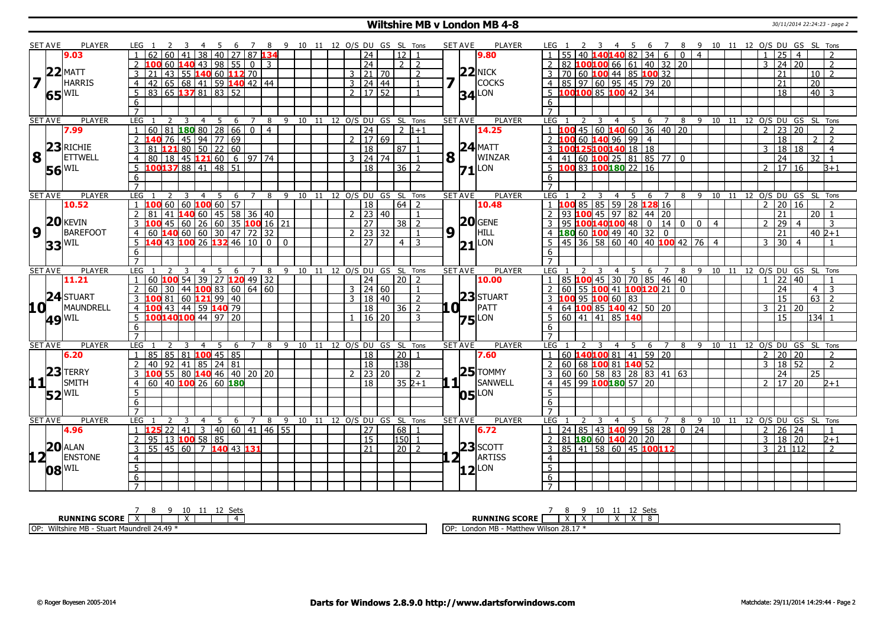## **Wiltshire MB v London MB 4-8** 30/11/2014 22:24:23 - page 2

|                                           | <b>SET AVE</b>      | PLAYER                    | LEG 1                             | <sup>2</sup><br>-3                                        | -4<br>- 5              | - 6          |                |                            | 7 8 9 10 11 12 O/S DU GS SL Tons       |                            |  |                     |                   |                |     | <b>SET AVE</b>      | PLAYER        | LEG 1                  | <sup>2</sup>                    |                         |                |                             |                                        |                                             |                                                                               |                 | 6 7 8 9 10 11 12 O/S DU GS SL Tons     |                       |                |                  |                   |                 |                |
|-------------------------------------------|---------------------|---------------------------|-----------------------------------|-----------------------------------------------------------|------------------------|--------------|----------------|----------------------------|----------------------------------------|----------------------------|--|---------------------|-------------------|----------------|-----|---------------------|---------------|------------------------|---------------------------------|-------------------------|----------------|-----------------------------|----------------------------------------|---------------------------------------------|-------------------------------------------------------------------------------|-----------------|----------------------------------------|-----------------------|----------------|------------------|-------------------|-----------------|----------------|
|                                           |                     | 9.03                      |                                   | 62   60   41                                              | 38                     | 40 27 87 134 |                |                            |                                        |                            |  | $\overline{24}$     | 12                |                |     |                     | 9.80          |                        |                                 |                         |                |                             |                                        | $55   40$ 140140 82 34 6                    | $\overline{0}$                                                                | $\sqrt{4}$      |                                        |                       | $\mathbf{1}$   | 25               | $\overline{4}$    |                 |                |
|                                           |                     |                           |                                   | 43 <br>60 <b>140</b>                                      |                        | 98 55        | l o I          | $\mathcal{R}$              |                                        |                            |  | $\overline{24}$     | 212               |                |     |                     |               |                        |                                 |                         |                |                             |                                        | 82 100100 66 61 40 32 20                    |                                                                               |                 |                                        |                       | 3              | $\overline{24}$  | $\overline{20}$   |                 | $\overline{2}$ |
|                                           |                     |                           | 3<br>21                           | 55 140 60 112 70<br>43                                    |                        |              |                |                            |                                        |                            |  | $3 \mid 21 \mid 70$ |                   | <sup>2</sup>   |     |                     | $22$ NICK     |                        |                                 |                         |                |                             |                                        |                                             |                                                                               |                 |                                        |                       |                | 21               |                   | 10              | $\overline{z}$ |
|                                           |                     | $ 7 ^{22 $ MATT<br>HARRIS | $\overline{4}$                    | 42 65 68 41 59 140 42 44                                  |                        |              |                |                            |                                        |                            |  | 3   24   44         |                   | $\overline{1}$ | 7   |                     | <b>COCKS</b>  |                        |                                 |                         |                |                             |                                        |                                             |                                                                               |                 |                                        |                       |                | 21               |                   | $\overline{20}$ |                |
|                                           |                     | $65$ <sup>WIL</sup>       | -5                                | 83 65 137 81 83 52                                        |                        |              |                |                            |                                        |                            |  | $2 \mid 17 \mid 52$ |                   | $\mathbf{1}$   |     | $34$ <sup>LON</sup> |               |                        |                                 |                         |                |                             | $5\ \ 100100\ \ 85\ \ 100\ \ 42\ \ 34$ |                                             |                                                                               |                 |                                        |                       |                | 18               |                   | $40 \mid 3$     |                |
|                                           |                     |                           | 6                                 |                                                           |                        |              |                |                            |                                        |                            |  |                     |                   |                |     |                     |               | 6                      |                                 |                         |                |                             |                                        |                                             |                                                                               |                 |                                        |                       |                |                  |                   |                 |                |
|                                           |                     |                           | $\overline{7}$                    |                                                           |                        |              |                |                            |                                        |                            |  |                     |                   |                |     |                     |               | $\overline{7}$         |                                 |                         |                |                             |                                        |                                             |                                                                               |                 |                                        |                       |                |                  |                   |                 |                |
|                                           | <b>SET AVE</b>      | <b>PLAYER</b>             | <b>LEG</b>                        | 2<br>3                                                    | - 5<br>$\overline{4}$  | - 6          | $\overline{7}$ | 8                          | 9 10 11 12 O/S DU GS SL Tons           |                            |  |                     |                   |                |     | <b>SET AVE</b>      | <b>PLAYER</b> | LEG                    |                                 | 3                       | 4              | 5                           | - 6                                    | $\overline{7}$                              |                                                                               |                 | 8 9 10 11 12 0/S DU GS SL Tons         |                       |                |                  |                   |                 |                |
|                                           |                     | 7.99                      | $\mathbf{1}$                      | 60 81 180 80 28 66 0                                      |                        |              |                | $\overline{4}$             |                                        |                            |  | $\overline{24}$     | $\frac{1}{2}$ 1+1 |                |     |                     | 14.25         |                        |                                 |                         |                |                             |                                        |                                             | $1 \vert 100 \vert 45 \vert 60 \vert 140 \vert 60 \vert 36 \vert 40 \vert 20$ |                 |                                        |                       | $\overline{2}$ | $\overline{23}$  | 20                |                 | $\overline{2}$ |
|                                           |                     |                           | 2 140 76 45 94 77 69              |                                                           |                        |              |                |                            |                                        |                            |  | $2 \mid 17 \mid 69$ |                   | $\overline{1}$ |     |                     |               | $2$ 100 60 140 96 99 4 |                                 |                         |                |                             |                                        |                                             |                                                                               |                 |                                        |                       |                | $\overline{18}$  |                   | 2 <sub>2</sub>  |                |
|                                           |                     | <b>8 23 RICHIE</b>        | $\overline{3}$                    | 81 121 80 50 22 60                                        |                        |              |                |                            |                                        |                            |  | $\overline{18}$     | $87$   1          |                |     |                     | $24$ MATT     |                        |                                 |                         |                |                             | 3 100125100140 18 18                   |                                             |                                                                               |                 |                                        |                       | 3              | 18 18            |                   |                 | $\overline{4}$ |
|                                           |                     | <b>ETTWELL</b>            | $\overline{4}$                    | 80 18 45 121 60 6 97 74                                   |                        |              |                |                            |                                        |                            |  | $3 \mid 24 \mid 74$ |                   | $\overline{1}$ | 8   |                     | WINZAR        |                        |                                 |                         |                |                             |                                        | $4   41   60   100   25   81   85   77   0$ |                                                                               |                 |                                        |                       |                | 24               |                   | 32              | $\vert$ 1      |
|                                           |                     | $56^{\text{WIL}}$         |                                   | $10013788$ 41 48 51                                       |                        |              |                |                            |                                        |                            |  | $\overline{18}$     | $36$   2          |                |     | $71$ <sup>LON</sup> |               |                        |                                 |                         |                |                             | $5\,$ 100 83 100 180 22 16             |                                             |                                                                               |                 |                                        |                       | $\mathcal{P}$  | $\frac{17}{16}$  |                   |                 | $B+1$          |
|                                           |                     |                           | 6                                 |                                                           |                        |              |                |                            |                                        |                            |  |                     |                   |                |     |                     |               | 6                      |                                 |                         |                |                             |                                        |                                             |                                                                               |                 |                                        |                       |                |                  |                   |                 |                |
|                                           |                     |                           |                                   |                                                           |                        |              |                |                            |                                        |                            |  |                     |                   |                |     |                     |               |                        |                                 |                         |                |                             |                                        |                                             |                                                                               |                 |                                        |                       |                |                  |                   |                 |                |
|                                           | <b>SET AVE</b>      | <b>PLAYER</b>             | LEG                               | $\overline{\mathbf{3}}$<br>2                              |                        |              |                |                            | 4 5 6 7 8 9 10 11 12 O/S DU GS SL Tons |                            |  |                     |                   |                |     | <b>SET AVE</b>      | <b>PLAYER</b> | LEG <sub>1</sub>       |                                 | $\overline{\mathbf{3}}$ |                |                             |                                        |                                             |                                                                               |                 | 4 5 6 7 8 9 10 11 12 O/S DU GS SL Tons |                       |                |                  |                   |                 |                |
|                                           |                     | 10.52                     |                                   | $100$ 60 60 $100$ 60 57                                   |                        |              |                |                            |                                        |                            |  | $\overline{18}$     | $64$   2          |                |     |                     | 10.48         |                        |                                 |                         |                |                             |                                        | 1 100 85 85 59 28 128 16                    |                                                                               |                 |                                        |                       | $\mathcal{P}$  | $\overline{20}$  | $\overline{16}$   |                 | $\overline{2}$ |
|                                           |                     |                           | 81                                | 41 <b>140</b> 60 45 58 36 40                              |                        |              |                |                            |                                        |                            |  | $2 \mid 23 \mid 40$ |                   |                |     |                     |               | $\overline{2}$         | 93 100                          |                         |                |                             | 45 97 82 44 20                         |                                             |                                                                               |                 |                                        |                       |                | 21               |                   | 20              | $\overline{1}$ |
|                                           | 20                  | <b>KEVIN</b>              | 3                                 | 100 45 60 26 60 35 100 16 21                              |                        |              |                |                            |                                        |                            |  | $\overline{27}$     | $38\sqrt{2}$      |                |     |                     | $20$ GENE     |                        |                                 |                         |                |                             |                                        | 95 100 140 100 48 0 14 0                    |                                                                               | $0 \mid 4$      |                                        |                       | 2              | $\overline{29}$  | $\overline{4}$    |                 | 3              |
|                                           | 9 <sup>1</sup>      | <b>BAREFOOT</b>           |                                   | 4 60 140 60 60 30 47 72 32<br>5 140 43 100 26 132 46 10 0 |                        |              |                |                            |                                        |                            |  | $2$   23   32       |                   | $\overline{1}$ | 9   | H.                  | HILL          |                        |                                 |                         |                |                             | 4 180 60 100 49 40 32 0                |                                             |                                                                               |                 |                                        |                       |                | 21               |                   | $40\,2+1$       |                |
|                                           | $33$ <sup>WIL</sup> |                           |                                   |                                                           |                        |              |                |                            | $\Omega$                               |                            |  | 27                  | $4 \mid 3$        |                |     | $21$ LON            |               | -5                     |                                 |                         |                |                             |                                        |                                             | 45 36 58 60 40 40 100 42 76 4                                                 |                 |                                        |                       | 3              | 30               | $\overline{4}$    |                 |                |
|                                           |                     |                           | 6                                 |                                                           |                        |              |                |                            |                                        |                            |  |                     |                   |                |     |                     |               | 6                      |                                 |                         |                |                             |                                        |                                             |                                                                               |                 |                                        |                       |                |                  |                   |                 |                |
|                                           |                     |                           | $\overline{7}$                    |                                                           |                        |              |                |                            |                                        |                            |  |                     |                   |                |     |                     |               | $\overline{7}$         |                                 |                         |                |                             |                                        |                                             |                                                                               |                 |                                        |                       |                |                  |                   |                 |                |
|                                           | <b>SET AVE</b>      | <b>PLAYER</b>             | LEG                               |                                                           | $\overline{4}$<br>5    | 6            | $7^{\circ}$    | 8                          | 9                                      | 10 11 12 0/S DU GS SL Tons |  |                     |                   |                |     | <b>SET AVE</b>      | <b>PLAYER</b> | LEG                    |                                 |                         | $\overline{4}$ | 5                           | 6                                      | $\overline{7}$                              |                                                                               |                 | 8 9 10 11 12 0/S DU GS SL Tons         |                       |                |                  |                   |                 |                |
|                                           |                     |                           |                                   |                                                           |                        |              |                |                            |                                        |                            |  | $\overline{24}$     | $20$   2          |                |     |                     | 10.00         | $\mathbf{1}$           | 85 <b>100</b> 45 30 70 85 46 40 |                         |                |                             |                                        |                                             |                                                                               |                 |                                        |                       | $\mathbf{1}$   | $\overline{22}$  | 40                |                 |                |
|                                           |                     | 11.21                     | $\overline{1}$                    | 60 $\frac{100}{54}$ 39   27 $\frac{120}{49}$ 49   32      |                        |              |                |                            |                                        |                            |  |                     |                   |                |     |                     |               |                        |                                 |                         |                |                             |                                        |                                             |                                                                               |                 |                                        |                       |                |                  |                   |                 |                |
|                                           |                     |                           | 2<br>60                           | 44   100 83   60   64   60<br>30                          |                        |              |                |                            |                                        |                            |  | $3 \mid 24 \mid 60$ |                   | $\overline{1}$ |     |                     |               |                        |                                 |                         |                |                             |                                        | 2 60 55 100 41 100 120 21 0                 |                                                                               |                 |                                        |                       |                | 24               |                   | 4 I             | $\overline{3}$ |
|                                           |                     | $24$ STUART               | 3  100  81   60  121   99   40    |                                                           |                        |              |                |                            |                                        |                            |  | 3   18   40         |                   | $\overline{2}$ |     |                     | 23 STUART     |                        |                                 |                         |                | 3 100 95 100 60 83          |                                        |                                             |                                                                               |                 |                                        |                       |                | 15               |                   |                 |                |
| 10 L                                      |                     | MAUNDRELL                 | $\overline{4}$                    | 100 43 44 59 140 79                                       |                        |              |                |                            |                                        |                            |  | $\overline{18}$     | $36$   2          |                | .OI |                     | PATT          |                        |                                 |                         |                |                             | 4 64 100 85 140 42 50 20               |                                             |                                                                               |                 |                                        |                       | $\mathbf{3}$   | 21               | 20                |                 | $\overline{2}$ |
|                                           |                     |                           | $5 \overline{100140100}$ 44 97 20 |                                                           |                        |              |                |                            |                                        |                            |  | $1 \mid 16 \mid 20$ |                   | -3             |     |                     |               |                        |                                 |                         |                | 5   60   41   41   85   140 |                                        |                                             |                                                                               |                 |                                        |                       |                | 15               |                   | 134 1           |                |
|                                           |                     | 49 WIL                    | 6                                 |                                                           |                        |              |                |                            |                                        |                            |  |                     |                   |                |     | $75$ <sup>LON</sup> |               | 6                      |                                 |                         |                |                             |                                        |                                             |                                                                               |                 |                                        |                       |                |                  |                   |                 |                |
|                                           |                     |                           | $\overline{7}$                    |                                                           |                        |              |                |                            |                                        |                            |  |                     |                   |                |     |                     |               | $\overline{7}$         |                                 |                         |                |                             |                                        |                                             |                                                                               |                 |                                        |                       |                |                  |                   |                 |                |
|                                           | <b>SET AVE</b>      | <b>PLAYER</b>             | LEG                               | -3                                                        | $-5$<br>$\overline{4}$ | $6^{\circ}$  |                | 7 8                        | 9 10 11 12 O/S DU GS SL Tons           |                            |  |                     |                   |                |     | <b>SET AVE</b>      | <b>PLAYER</b> | LEG                    |                                 |                         |                | 4 5                         |                                        |                                             |                                                                               |                 | 6 7 8 9 10 11 12                       |                       |                |                  | O/S DU GS SL Tons |                 |                |
|                                           |                     | 6.20                      | 1   85   85   81   100   45   85  |                                                           |                        |              |                |                            |                                        |                            |  | $\overline{18}$     | $\sqrt{20}$ 1     |                |     |                     | 7.60          |                        |                                 |                         |                |                             |                                        | $1   60$ <b>140100</b> 81 41 59 20          |                                                                               |                 |                                        |                       | $\overline{2}$ | 20 20            |                   |                 | $\overline{z}$ |
|                                           |                     |                           | 2<br>40                           | $92$ 41 85 24 81                                          |                        |              |                |                            |                                        |                            |  | $\overline{18}$     | 138               |                |     |                     |               |                        |                                 |                         |                |                             | 2 60 68 100 81 140 52                  |                                             |                                                                               |                 |                                        |                       | 3              | 18               | 52                |                 | 2              |
|                                           | 23                  | <b>TERRY</b>              |                                   | 100 55 80 140 46 40 20 20                                 |                        |              |                |                            |                                        |                            |  | $2 \mid 23 \mid 20$ |                   | $\overline{2}$ |     |                     | $25$ TOMMY    |                        |                                 |                         |                |                             |                                        | 3 60 60 58 83 28 83 41 63                   |                                                                               |                 |                                        |                       |                | $\overline{24}$  |                   | 25              |                |
|                                           |                     | SMITH                     | $\overline{4}$                    | 60 40 100 26 60 180                                       |                        |              |                |                            |                                        |                            |  | 18                  | $352+1$           |                |     |                     | SANWELL       |                        |                                 |                         |                |                             | 4 4 5 99 100 180 57 20                 |                                             |                                                                               |                 |                                        |                       | $2^{\circ}$    | $\sqrt{17}$   20 |                   |                 | $2 + 1$        |
|                                           |                     | $52$ <sup>WIL</sup>       | 5                                 |                                                           |                        |              |                |                            |                                        |                            |  |                     |                   |                |     | 05                  | LON           | 5                      |                                 |                         |                |                             |                                        |                                             |                                                                               |                 |                                        |                       |                |                  |                   |                 |                |
|                                           |                     |                           | 6                                 |                                                           |                        |              |                |                            |                                        |                            |  |                     |                   |                |     |                     |               | 6                      |                                 |                         |                |                             |                                        |                                             |                                                                               |                 |                                        |                       |                |                  |                   |                 |                |
|                                           |                     |                           |                                   |                                                           |                        |              |                |                            |                                        |                            |  |                     |                   |                |     |                     |               | $\overline{7}$         |                                 |                         |                |                             |                                        |                                             |                                                                               |                 |                                        |                       |                |                  |                   |                 |                |
|                                           | <b>SET AVE</b>      | <b>PLAYER</b>             | <b>LEG</b>                        |                                                           | $\overline{4}$<br>5    | 6            | 7              | 8                          | 9                                      | 10 11 12 O/S DU GS SL Tons |  |                     |                   |                |     | <b>SET AVE</b>      | <b>PLAYER</b> | LEG                    |                                 |                         | $\overline{4}$ | - 5                         | 6                                      | $\overline{7}$                              | 8                                                                             | 9               |                                        | 10 11 12 O/S DU GS SL |                |                  |                   |                 | Tons           |
|                                           |                     | 4.96                      |                                   | $125$ 22 41                                               |                        |              |                | 3   40   60   41   46   55 |                                        |                            |  | $\overline{27}$     | 68                | $\overline{1}$ |     |                     | 6.72          |                        |                                 |                         |                |                             |                                        |                                             | $1 \mid 24 \mid 85 \mid 43$ <b>140</b> 99 58 28 0                             | $\overline{24}$ |                                        |                       | $\overline{2}$ | $26 \mid 24$     |                   |                 | $\overline{1}$ |
|                                           |                     |                           | 2                                 | $95$ 13 100 58 85                                         |                        |              |                |                            |                                        |                            |  | 15                  | l150l 1           |                |     |                     |               |                        |                                 |                         |                |                             | $81$ 180 60 140 20 20                  |                                             |                                                                               |                 |                                        |                       | 3              | $18 \mid 20$     |                   |                 | $_{2+1}$       |
|                                           |                     | $20$ ALAN                 | 3                                 | $55   45   60   7$ 140 43 131                             |                        |              |                |                            |                                        |                            |  | 21                  | $\sqrt{20}$ 2     |                |     |                     | $23$ SCOTT    |                        |                                 |                         |                |                             |                                        | 3   85   41   58   60   45   100   12       |                                                                               |                 |                                        |                       | 3              | 21 112           |                   |                 | $\overline{2}$ |
| 12 <sub>1</sub>                           |                     | <b>ENSTONE</b>            | $\overline{4}$                    |                                                           |                        |              |                |                            |                                        |                            |  |                     |                   |                |     | 2 <sub>1</sub>      | ARTISS        | $\overline{4}$         |                                 |                         |                |                             |                                        |                                             |                                                                               |                 |                                        |                       |                |                  |                   |                 |                |
| $11$ <sup><math>\overline{1}</math></sup> | $08^{\rm WIL}$      |                           | $5\overline{)}$                   |                                                           |                        |              |                |                            |                                        |                            |  |                     |                   |                |     | $ 12 $ LON          |               | $\overline{5}$         |                                 |                         |                |                             |                                        |                                             |                                                                               |                 |                                        |                       |                |                  |                   |                 |                |
|                                           |                     |                           | $6\overline{6}$<br>$\overline{7}$ |                                                           |                        |              |                |                            |                                        |                            |  |                     |                   |                |     |                     |               | 6<br>$\overline{7}$    |                                 |                         |                |                             |                                        |                                             |                                                                               |                 |                                        |                       |                |                  |                   |                 |                |

| 10<br>ำ∼+<br>ັບປະ                                             | -atc<br>ししい                                                          |
|---------------------------------------------------------------|----------------------------------------------------------------------|
| <b>RUNNING SCORE</b>                                          | <b>RUNNING SCORE</b><br>$\ddot{\phantom{1}}$<br>$\ddot{\phantom{1}}$ |
| 1.24.47<br>OP:<br>Wiltshire MB -<br>Stuart Maundrell<br>24.49 | Wilson 28.17<br>ı MB<br>- Matthew '<br>∩n<br>London<br>ι∪τ           |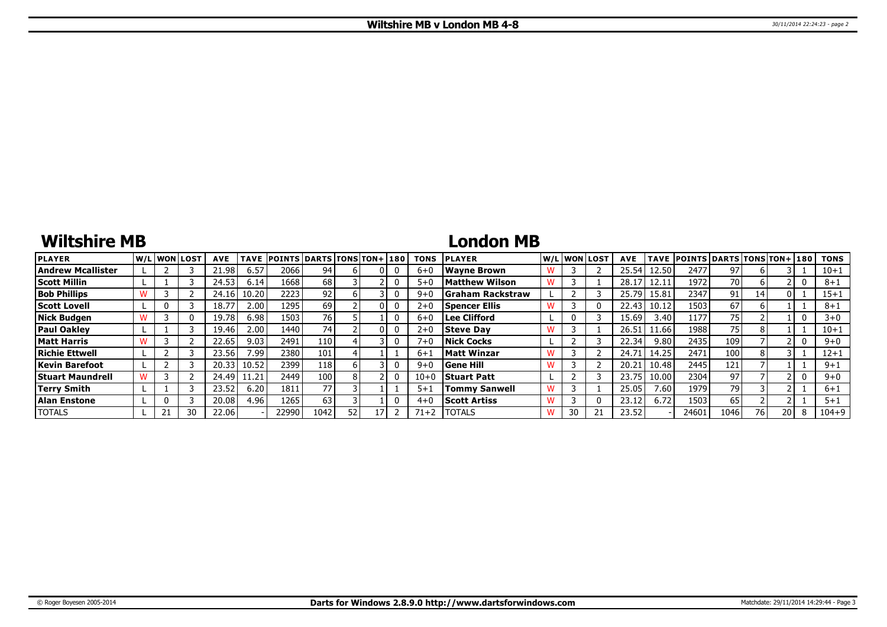# **Wiltshire MB**

## **London MB**

| <b>PLAYER</b>            |  | lw/Llwonllost | <b>AVE</b> | <b>TAVE</b> | <b>POINTS DARTS TONS TON+180</b> |      |     |    | <b>TONS</b> | <b>PLAYER</b>            | W/L WON LOST | <b>AVE</b> | <b>TAVE</b> | <b>POINTS DARTS TONS TON+1180</b> |      |    |    | <b>TONS</b> |
|--------------------------|--|---------------|------------|-------------|----------------------------------|------|-----|----|-------------|--------------------------|--------------|------------|-------------|-----------------------------------|------|----|----|-------------|
| <b>Andrew Mcallister</b> |  |               | 21.98      | 6.57        | 2066                             | 94   |     |    | $6 + C$     | Wavne Brown              |              | 25.54      | 12.50       | 2477                              | 97   |    |    | $10 + 1$    |
| <b>Scott Millin</b>      |  |               | 24.53      | 6.14        | 1668                             | 68   |     |    | $5 + C$     | Matthew Wilson           |              | 28.1       | 12.11       | 1972                              | 70 I |    |    | $8 + 1$     |
| <b>Bob Phillips</b>      |  |               | 24.16      | 10.20       | 2223                             | 92   |     |    | $9 + C$     | <b>SGraham Rackstraw</b> |              | 25.79      | 15.81       | 2347                              | 91   | 14 |    | $15 + 1$    |
| <b>Scott Lovell</b>      |  |               | 18.77      | 2.00        | 1295                             | 69   |     |    | $2 + 0$     | Spencer Ellis            |              | 22.43      | 10.12       | 1503                              | 67   |    |    | $8 + 1$     |
| <b>Nick Budgen</b>       |  |               | 19.78      | 6.98        | 1503                             | 76   |     |    | $6 + C$     | Lee Clifford             | 0            | 15.69      | 3.40        | 1177                              | 75   |    |    | $3+0$       |
| <b>Paul Oakley</b>       |  |               | 19.46      | 2.00        | 1440                             | 741  |     |    | $2 + 0$     | <b>Steve Dav</b>         |              | 26.51      | 11.66       | 1988                              | 75.  |    |    | $10 + 1$    |
| <b>Matt Harris</b>       |  |               | 22.65      | 9.03        | 2491                             | 110  |     |    | $7 + C$     | <b>Nick Cocks</b>        |              | 22.34      | 9.80        | 2435                              | 109  |    |    | $9 + 0$     |
| <b>Richie Ettwell</b>    |  |               | 23.56      | 7.99        | 2380                             | 101  |     |    | $6 + 1$     | Matt Winzar              |              | 24.7       | 14.25       | 2471                              | 100  |    |    | $12 + 1$    |
| <b>Kevin Barefoot</b>    |  |               | 20.33      | 10.52       | 2399                             | 118  |     |    | $9 + 0$     | <b>Gene Hill</b>         |              | 20.21      | 10.48       | 2445                              | 121  |    |    | $9 + 1$     |
| <b>Stuart Maundrell</b>  |  |               | 24.49      | 11.21       | 2449                             | 100  |     |    | $10 + 0$    | <b>Stuart Patt</b>       |              | 23.75      | 10.00       | 2304                              | 97   |    |    | $9 + 0$     |
| <b>Terry Smith</b>       |  |               | 23.52      | 6.20        | 1811                             | 77   |     |    | $5 + 1$     | <b>Tommy Sanwell</b>     |              | 25.05      | 7.60        | 1979                              | 79   |    |    | $6 + 1$     |
| Alan Enstone             |  |               | 20.08      | 4.96        | 1265                             | 63   |     |    | $4 + 0$     | <b>Scott Artiss</b>      |              | 23.12      | 6.72        | 1503                              | 65   |    |    | $5 + 1$     |
| <b>TOTALS</b>            |  | 30            | 22.06      |             | 22990                            | 1042 | 52. | 17 | $71 + 2$    | <b>ITOTALS</b>           | 30           | 23.52      |             | 24601                             | 1046 | 76 | 20 | $104 + 9$   |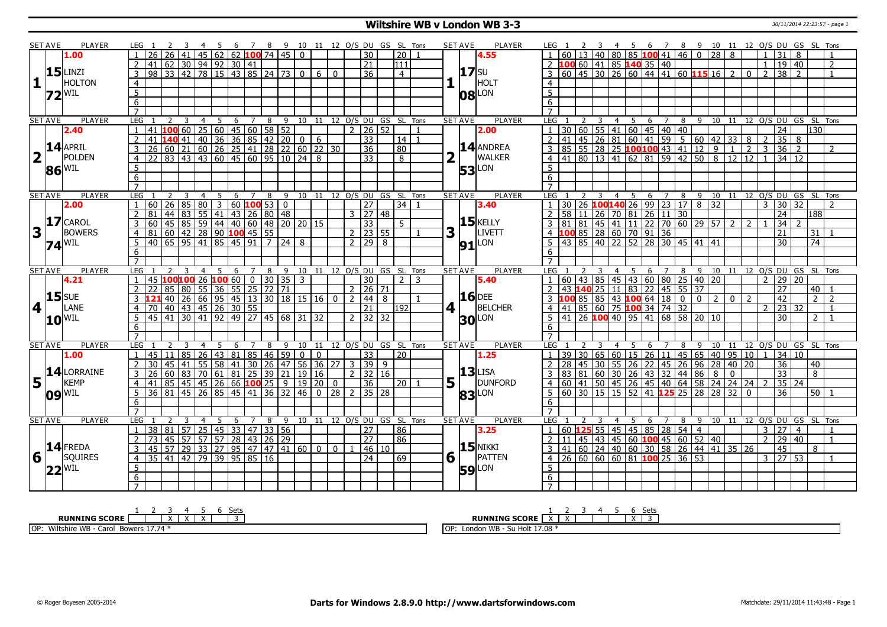## **Wiltshire WB v London WB 3-3** 30/11/2014 22:23:57 - page 1

|                         | SET AVE        | PLAYER                                                 |                     |                                                                                                                                                    |    |                                                                                                 |                |                |   |                 |                             |                                          |                |             |                |                |                           |   | 10 11 12 O/S DU GS SL Tons   |              |                | SET AVE        | PLAYER            |                     |    |                          |                         |                |      | - 6 |                |                               |     |                                                                                                                           |    |                |                |                |                       |                 |                 |                                        |
|-------------------------|----------------|--------------------------------------------------------|---------------------|----------------------------------------------------------------------------------------------------------------------------------------------------|----|-------------------------------------------------------------------------------------------------|----------------|----------------|---|-----------------|-----------------------------|------------------------------------------|----------------|-------------|----------------|----------------|---------------------------|---|------------------------------|--------------|----------------|----------------|-------------------|---------------------|----|--------------------------|-------------------------|----------------|------|-----|----------------|-------------------------------|-----|---------------------------------------------------------------------------------------------------------------------------|----|----------------|----------------|----------------|-----------------------|-----------------|-----------------|----------------------------------------|
|                         |                | 1.00                                                   |                     | $\overline{26}$                                                                                                                                    | 26 | 41                                                                                              |                |                |   |                 |                             | 4 5 6 7 8 9<br>45 62 62 <b>100</b> 74 45 | $\overline{0}$ |             |                |                | $\overline{30}$           |   | $\overline{20}$              |              |                |                | 4.55              |                     | 60 |                          | 13 40                   |                |      |     |                | 80   85   100 41   46   0     |     |                                                                                                                           |    |                |                |                |                       | 8               |                 | 7 8 9 10 11 12 0/S DU GS SL Tons       |
|                         |                |                                                        | $\overline{2}$      | 41                                                                                                                                                 |    | 62 30 94 92 30 41                                                                               |                |                |   |                 |                             |                                          |                |             |                |                | $\overline{21}$           |   | $\overline{111}$             |              |                |                |                   |                     |    | 2 100 60 41 85 140 35 40 |                         |                |      |     |                |                               |     |                                                                                                                           |    |                |                | $\mathbf{1}$   | $\overline{19}$       | $ 40\rangle$    |                 | $\overline{2}$                         |
|                         |                | $15$ LINZI                                             | $\overline{3}$      | $98 \ 33 \ 42$                                                                                                                                     |    |                                                                                                 |                |                |   |                 |                             | $\overline{78}$ 15 43 85 24 73           | $\overline{0}$ | 6           | $\overline{0}$ |                | $\overline{36}$           |   | $\overline{4}$               |              |                | <b>17</b> SU   |                   |                     |    |                          |                         |                |      |     |                |                               |     | $\overline{3}$ 60 45 30 26 60 44 41 60 115 16 2                                                                           |    |                | $\mathbf{0}$   | $\overline{2}$ | $\overline{38}$       | $\overline{z}$  |                 |                                        |
| 1                       |                | HOLTON                                                 | $\overline{4}$      |                                                                                                                                                    |    |                                                                                                 |                |                |   |                 |                             |                                          |                |             |                |                |                           |   |                              |              |                |                | HOLT              | $\overline{4}$      |    |                          |                         |                |      |     |                |                               |     |                                                                                                                           |    |                |                |                |                       |                 |                 |                                        |
|                         |                |                                                        | $\overline{5}$      |                                                                                                                                                    |    |                                                                                                 |                |                |   |                 |                             |                                          |                |             |                |                |                           |   |                              |              |                |                |                   | $\overline{5}$      |    |                          |                         |                |      |     |                |                               |     |                                                                                                                           |    |                |                |                |                       |                 |                 |                                        |
|                         |                | $Z2^{ WIL}$                                            |                     |                                                                                                                                                    |    |                                                                                                 |                |                |   |                 |                             |                                          |                |             |                |                |                           |   |                              |              |                |                | $ 08 ^{LON}$      |                     |    |                          |                         |                |      |     |                |                               |     |                                                                                                                           |    |                |                |                |                       |                 |                 |                                        |
|                         |                |                                                        | 6                   |                                                                                                                                                    |    |                                                                                                 |                |                |   |                 |                             |                                          |                |             |                |                |                           |   |                              |              |                |                |                   | 6                   |    |                          |                         |                |      |     |                |                               |     |                                                                                                                           |    |                |                |                |                       |                 |                 |                                        |
|                         | <b>SET AVE</b> | <b>PLAYER</b>                                          | LEG                 |                                                                                                                                                    | 2  | $\overline{3}$                                                                                  | $\overline{4}$ | $\overline{5}$ |   |                 |                             | 6 7 8 9 10 11 12 O/S DU GS SL Tons       |                |             |                |                |                           |   |                              |              |                | <b>SET AVE</b> | <b>PLAYER</b>     | <b>LEG</b>          |    | $\overline{2}$           | $\overline{\mathbf{3}}$ |                |      |     |                |                               |     |                                                                                                                           |    |                |                |                |                       |                 |                 | 4 5 6 7 8 9 10 11 12 O/S DU GS SL Tons |
|                         |                | 2.40                                                   |                     |                                                                                                                                                    |    |                                                                                                 |                |                |   |                 |                             |                                          |                |             |                |                | $2 \mid 26 \mid 52$       |   |                              |              |                |                | 2.00              | $\overline{1}$      |    |                          |                         |                |      |     |                | 30 60 55 41 60 45 40 40       |     |                                                                                                                           |    |                |                |                | $\overline{24}$       |                 | 130             |                                        |
|                         |                |                                                        | $\overline{2}$      |                                                                                                                                                    |    |                                                                                                 |                |                |   |                 |                             |                                          |                |             |                |                | $\overline{33}$           |   | 14                           |              |                |                |                   |                     |    |                          |                         |                |      |     |                |                               |     |                                                                                                                           |    |                |                | $\overline{2}$ | $35 \mid 8$           |                 |                 |                                        |
|                         |                | $14$ APRIL                                             | $\overline{3}$      |                                                                                                                                                    |    |                                                                                                 |                |                |   |                 |                             |                                          |                |             |                |                | $\overline{36}$           |   | 80                           |              |                |                | $14$ ANDREA       |                     |    |                          |                         |                |      |     |                |                               |     | 2 41 45 26 81 60 41 59 5 60 42 33 8<br>3 85 55 28 25 <b>100100</b> 43 41 12 9 1 2<br>4 41 80 13 41 62 81 59 42 50 8 12 12 |    |                |                | $\overline{3}$ | $\overline{36}$       | $\sqrt{2}$      |                 | $\overline{2}$                         |
| $\overline{\mathbf{2}}$ |                | POLDEN                                                 |                     |                                                                                                                                                    |    |                                                                                                 |                |                |   |                 |                             |                                          |                |             |                |                | $\overline{33}$           |   |                              |              |                |                | <b>WALKER</b>     |                     |    |                          |                         |                |      |     |                |                               |     |                                                                                                                           |    |                |                | $\mathbf{1}$   | 34 12                 |                 |                 |                                        |
|                         |                |                                                        | $\overline{4}$      |                                                                                                                                                    |    |                                                                                                 |                |                |   |                 |                             |                                          |                |             |                |                |                           |   | 8                            |              |                |                |                   |                     |    |                          |                         |                |      |     |                |                               |     |                                                                                                                           |    |                |                |                |                       |                 |                 |                                        |
|                         |                | $86^{\text{WIL}}$                                      | 5                   |                                                                                                                                                    |    |                                                                                                 |                |                |   |                 |                             |                                          |                |             |                |                |                           |   |                              |              |                |                | <b>53</b> LON     | 5 <sup>5</sup>      |    |                          |                         |                |      |     |                |                               |     |                                                                                                                           |    |                |                |                |                       |                 |                 |                                        |
|                         |                |                                                        | 6                   |                                                                                                                                                    |    |                                                                                                 |                |                |   |                 |                             |                                          |                |             |                |                |                           |   |                              |              |                |                |                   | 6                   |    |                          |                         |                |      |     |                |                               |     |                                                                                                                           |    |                |                |                |                       |                 |                 |                                        |
|                         |                |                                                        | $\overline{7}$      |                                                                                                                                                    |    |                                                                                                 |                |                |   |                 |                             |                                          |                |             |                |                |                           |   |                              |              |                |                |                   | $\overline{7}$      |    |                          |                         |                |      |     |                |                               |     |                                                                                                                           |    |                |                |                |                       |                 |                 |                                        |
|                         | <b>SET AVE</b> | <b>PLAYER</b>                                          | LEG                 |                                                                                                                                                    |    |                                                                                                 | $\overline{4}$ | 5              | 6 | $7\overline{ }$ | 8                           |                                          |                |             |                |                |                           |   | 9 10 11 12 O/S DU GS SL Tons |              |                | <b>SET AVE</b> | <b>PLAYER</b>     | <b>LEG</b>          |    |                          | $\overline{3}$          | $-4$           | $-5$ | 6   |                |                               |     |                                                                                                                           |    |                |                |                |                       |                 |                 | 7 8 9 10 11 12 O/S DU GS SL Tons       |
|                         |                | 2.00                                                   | -1                  |                                                                                                                                                    |    |                                                                                                 |                |                |   |                 |                             |                                          |                |             |                |                | 27<br>$3 \mid 27 \mid 48$ |   | $34$   1                     |              |                |                | 3.40              |                     |    |                          |                         |                |      |     |                |                               |     |                                                                                                                           |    |                |                | $\overline{3}$ | 30<br>$\overline{24}$ | $\overline{32}$ |                 |                                        |
|                         | 17             | CAROL                                                  | 2                   |                                                                                                                                                    |    |                                                                                                 |                |                |   |                 |                             |                                          |                |             |                |                |                           |   |                              |              |                |                |                   |                     |    |                          |                         |                |      |     |                |                               |     |                                                                                                                           |    |                |                |                |                       |                 | 188             |                                        |
|                         |                |                                                        | 3                   |                                                                                                                                                    |    |                                                                                                 |                |                |   |                 |                             |                                          |                |             |                |                | 33                        |   | 5 <sup>7</sup>               |              |                |                | 15 KELLY          |                     |    |                          |                         |                |      |     |                |                               |     |                                                                                                                           |    |                | $\overline{2}$ | $\mathbf{1}$   | $\overline{34}$       |                 |                 |                                        |
| 3                       |                | <b>BOWERS</b>                                          | $\overline{4}$      |                                                                                                                                                    |    |                                                                                                 |                |                |   |                 |                             |                                          |                |             |                |                | $2$ 23 55                 |   |                              |              | 3              |                |                   |                     |    |                          |                         |                |      |     |                |                               |     |                                                                                                                           |    |                |                |                | 21                    |                 | 31              |                                        |
|                         |                | $74$ <sup>WIL</sup>                                    | 5                   |                                                                                                                                                    |    |                                                                                                 |                |                |   |                 |                             |                                          |                |             |                |                | 2 29                      | 8 |                              |              |                |                | $91$ $\text{LON}$ |                     |    |                          |                         |                |      |     |                |                               |     |                                                                                                                           |    |                |                |                | 30                    |                 | $\overline{74}$ |                                        |
|                         |                |                                                        | 6                   |                                                                                                                                                    |    |                                                                                                 |                |                |   |                 |                             |                                          |                |             |                |                |                           |   |                              |              |                |                |                   | 6                   |    |                          |                         |                |      |     |                |                               |     |                                                                                                                           |    |                |                |                |                       |                 |                 |                                        |
|                         |                |                                                        | $\overline{7}$      |                                                                                                                                                    |    |                                                                                                 |                |                |   |                 |                             |                                          |                |             |                |                |                           |   |                              |              |                |                |                   | $\overline{7}$      |    |                          |                         |                |      |     |                |                               |     |                                                                                                                           |    |                |                |                |                       |                 |                 |                                        |
|                         | <b>SET AVE</b> | <b>PLAYER</b>                                          | LEG                 |                                                                                                                                                    |    |                                                                                                 | 4              |                | 6 |                 | 8                           | 9                                        |                |             |                |                |                           |   | 10 11 12 O/S DU GS SL Tons   |              |                | <b>SET AVE</b> | <b>PLAYER</b>     | LEG                 |    |                          |                         | 4              |      | 6   |                |                               | 8 9 |                                                                                                                           |    |                |                | $\mathcal{L}$  |                       |                 |                 | 10 11 12 0/S DU GS SL Tons             |
|                         |                |                                                        |                     |                                                                                                                                                    |    |                                                                                                 |                |                |   |                 |                             |                                          |                |             |                |                |                           |   |                              |              |                |                |                   |                     |    |                          |                         |                |      |     |                |                               |     |                                                                                                                           |    |                |                |                |                       |                 |                 |                                        |
|                         |                | 4.21                                                   | $\overline{1}$      |                                                                                                                                                    |    |                                                                                                 |                |                |   |                 |                             |                                          |                |             |                |                | 30 <sup>2</sup>           |   | 2 <sub>1</sub>               | $\mathbf{R}$ |                |                | 5.40              |                     |    |                          |                         |                |      |     |                |                               |     |                                                                                                                           |    |                |                |                | 29 20                 |                 |                 |                                        |
|                         |                |                                                        | $\overline{2}$      |                                                                                                                                                    |    |                                                                                                 |                |                |   |                 |                             |                                          |                |             |                |                | $2 \mid 26 \mid 71$       |   |                              |              |                |                |                   |                     |    |                          |                         |                |      |     |                |                               |     | 60   43   85   45   43   60   80   25   40   20<br>  43 <b>140</b>   25   11   83   22   45   55   37                     |    |                |                |                | $\overline{27}$       |                 | 40              |                                        |
|                         |                | $15$ SUE                                               | $\overline{3}$      |                                                                                                                                                    |    |                                                                                                 |                |                |   |                 |                             |                                          |                |             | $\boxed{0}$    | $\overline{2}$ | $\overline{44}$           | 8 |                              |              |                |                | $16$ DEE          |                     |    |                          |                         |                |      |     |                |                               |     |                                                                                                                           |    | $\overline{2}$ |                |                | 42                    |                 | $\overline{2}$  | $\overline{2}$                         |
| 4 1                     |                | LANE                                                   | $\overline{4}$      |                                                                                                                                                    |    |                                                                                                 |                |                |   |                 |                             |                                          |                |             |                |                | $\overline{21}$           |   | 11921                        |              | $4$            |                | <b>BELCHER</b>    |                     |    |                          |                         |                |      |     |                |                               |     |                                                                                                                           |    |                |                | $\overline{2}$ | $\overline{23}$ 32    |                 |                 |                                        |
|                         |                |                                                        | 5                   |                                                                                                                                                    |    |                                                                                                 |                |                |   |                 |                             |                                          |                |             |                | 2 <sup>1</sup> | 32 32                     |   |                              |              |                |                |                   |                     |    |                          |                         |                |      |     |                |                               |     |                                                                                                                           |    |                |                |                | 30                    |                 | $\overline{2}$  |                                        |
|                         |                | $10^{\text{WIL}}$                                      | 6                   | 1 45 <b>100100</b> 26 <b>100</b> 60 1 0 30 35 13<br>121 40 26 66 95 45 13 30 18 15 16<br>121 40 26 66 95 45 13 30 18 15 16<br>10 40 43 45 26 30 55 |    |                                                                                                 |                |                |   |                 |                             |                                          |                |             |                |                |                           |   |                              |              |                |                | <b>30</b> LON     | 6                   |    |                          |                         |                |      |     |                |                               |     |                                                                                                                           |    |                |                |                |                       |                 |                 |                                        |
|                         |                |                                                        | $\overline{7}$      |                                                                                                                                                    |    |                                                                                                 |                |                |   |                 |                             |                                          |                |             |                |                |                           |   |                              |              |                |                |                   | $\overline{7}$      |    |                          |                         |                |      |     |                |                               |     |                                                                                                                           |    |                |                |                |                       |                 |                 |                                        |
|                         | <b>SET AVE</b> | PLAYER                                                 | <b>LEG</b>          |                                                                                                                                                    |    |                                                                                                 |                |                | 6 | 7               | 8                           | 9                                        |                | 10 11       |                |                |                           |   | 12 O/S DU GS SL Tons         |              | <b>SET AVE</b> |                | <b>PLAYER</b>     | <b>LEG</b>          |    |                          |                         | $\overline{4}$ |      | 6   | 7              | 8                             | 9   |                                                                                                                           |    |                |                |                |                       |                 |                 | 10 11 12 O/S DU GS SL Tons             |
|                         |                | 1.00                                                   | 1                   | 45 11                                                                                                                                              |    | 85                                                                                              |                |                |   |                 |                             | $26   43   81   85   46   59   0$        |                | $\mathbf 0$ |                |                | $\overline{33}$           |   | $\overline{20}$              |              |                |                | 1.25              |                     |    |                          |                         |                |      |     |                |                               |     |                                                                                                                           |    |                |                |                | 34 10                 |                 |                 |                                        |
|                         |                |                                                        | <sup>2</sup>        | 30                                                                                                                                                 |    |                                                                                                 |                |                |   |                 |                             | 26 47 56 36 27 3 39                      |                |             |                |                |                           | 9 |                              |              |                |                |                   |                     |    |                          |                         |                |      |     |                |                               |     | 1 39 30 65 60 15 26 11 45 65 40 95 10<br>2 28 45 30 55 26 22 45 26 96 28 40 20                                            |    |                |                |                | $\overline{36}$       |                 | 40              |                                        |
|                         |                |                                                        | $\overline{3}$      | 26                                                                                                                                                 |    |                                                                                                 |                |                |   |                 |                             |                                          |                |             |                |                | $2 \mid 32 \mid 16$       |   |                              |              |                |                | $13$ LISA         |                     |    |                          |                         |                |      |     |                |                               |     |                                                                                                                           |    |                |                |                | 33                    |                 | 8               |                                        |
|                         |                |                                                        |                     | 41                                                                                                                                                 |    |                                                                                                 |                |                |   |                 |                             |                                          |                | 20          | $\mathbf 0$    |                | 36                        |   | 20 <sup>1</sup>              |              | 5              |                | DUNFORD           |                     |    |                          |                         |                |      |     |                |                               |     |                                                                                                                           |    |                |                |                | 35 24                 |                 |                 |                                        |
|                         |                | $ \mathbf{5} $ 14 LORRAINE                             | 5                   | 36 81 45 26 85 45 41 36 32 46                                                                                                                      |    | 45 41 55 58 41 30 26 47 56 36<br>60 83 70 61 81 25 39 21 19 16<br>85 45 45 26 66 100 25 9 19 20 |                |                |   |                 |                             |                                          |                |             | 0  28          | 2 <sub>1</sub> | 35 28                     |   |                              |              |                |                |                   |                     |    |                          |                         |                |      |     |                |                               |     | 5 60 30 15 15 52 41 125 25 28 28 32 0                                                                                     |    |                |                |                | $\overline{36}$       |                 | $50$   1        |                                        |
|                         |                | $09^{\rm WIL}$                                         | 6                   |                                                                                                                                                    |    |                                                                                                 |                |                |   |                 |                             |                                          |                |             |                |                |                           |   |                              |              |                |                | 83 LON            | 6                   |    |                          |                         |                |      |     |                |                               |     |                                                                                                                           |    |                |                |                |                       |                 |                 |                                        |
|                         |                |                                                        |                     |                                                                                                                                                    |    |                                                                                                 |                |                |   |                 |                             |                                          |                |             |                |                |                           |   |                              |              |                |                |                   |                     |    |                          |                         |                |      |     |                |                               |     |                                                                                                                           |    |                |                |                |                       |                 |                 |                                        |
|                         | <b>SET AVE</b> | <b>PLAYER</b>                                          | LEG                 |                                                                                                                                                    |    | 3                                                                                               | $\overline{4}$ | 5              | 6 | 7               | 8                           | 9                                        | 10             | 11          |                |                | 12 O/S DU GS SL           |   |                              | Tons         |                | <b>SET AVE</b> | <b>PLAYER</b>     | LEG                 |    |                          |                         | 4              | 5    | 6   | $\overline{7}$ | 8                             | 9   | 10                                                                                                                        | 11 |                |                |                |                       |                 |                 | 12 O/S DU GS SL Tons                   |
|                         |                |                                                        | $\mathbf{1}$        |                                                                                                                                                    |    |                                                                                                 |                |                |   |                 |                             |                                          |                |             |                |                | 27                        |   | 86                           |              |                |                | 3.25              |                     |    |                          |                         |                |      |     |                |                               |     |                                                                                                                           |    |                |                | $\mathbf{3}$   | 27                    | $\overline{4}$  |                 |                                        |
|                         |                |                                                        | $\overline{2}$      |                                                                                                                                                    |    |                                                                                                 |                |                |   |                 |                             |                                          |                |             |                |                | $\overline{27}$           |   | $ 86\rangle$                 |              |                |                |                   |                     |    |                          |                         |                |      |     |                |                               |     |                                                                                                                           |    |                |                | $\overline{2}$ | $\overline{29}$       | $ 40\rangle$    |                 |                                        |
|                         |                |                                                        | 3                   |                                                                                                                                                    |    |                                                                                                 |                |                |   |                 |                             |                                          |                |             |                |                | 1   46   10               |   |                              |              |                |                | $15$ NIKKI        |                     |    |                          |                         |                |      |     |                |                               |     |                                                                                                                           |    |                |                |                | 45                    |                 | 8               |                                        |
|                         |                | SQUIRES                                                | $\overline{4}$      | 38 81 57 25 45 33 47 33 56<br>73 45 57 57 57 28 43 26 29<br>45 57 29 33 27 95 47 47 41 60 0 0<br>35   41                                           |    | $\overline{142}$                                                                                |                |                |   |                 | $\overline{79}$ 39 95 85 16 |                                          |                |             |                |                | $\overline{24}$           |   | 69                           |              | 6              |                | PATTEN            |                     |    |                          |                         |                |      |     |                | 4 26 60 60 60 81 100 25 36 53 |     | <u>1 60 125 55 45 45 85 28 54 4</u><br>2 11 45 43 45 60 100 45 60 52 40<br>3 41 60 24 40 60 30 58 26 44 41 35 26          |    |                |                | $\overline{3}$ | $\overline{27}$       | 53              |                 |                                        |
|                         |                | $\log \left  \frac{14}{1} \right _{\text{SOP}}$<br>WIL | 5                   |                                                                                                                                                    |    |                                                                                                 |                |                |   |                 |                             |                                          |                |             |                |                |                           |   |                              |              |                |                |                   | $5^{\circ}$         |    |                          |                         |                |      |     |                |                               |     |                                                                                                                           |    |                |                |                |                       |                 |                 |                                        |
|                         | 22             |                                                        | 6<br>$\overline{7}$ |                                                                                                                                                    |    |                                                                                                 |                |                |   |                 |                             |                                          |                |             |                |                |                           |   |                              |              |                |                | <b>59</b> LON     | 6<br>$\overline{7}$ |    |                          |                         |                |      |     |                |                               |     |                                                                                                                           |    |                |                |                |                       |                 |                 |                                        |

| Set:                                                                      | Setr<br>しししこ                                          |
|---------------------------------------------------------------------------|-------------------------------------------------------|
| .<br><b>RUNNING</b><br>$\ddot{\phantom{1}}$<br><b>SCORI</b><br>$\sqrt{ }$ | <b>RUNNING</b><br>i SCORF<br>$\overline{\phantom{a}}$ |
| 17.74<br>OP:<br>Wiltshire WB -<br>Bowers<br>Carol                         | 17.08<br>TOP<br>Londor<br><b>VVLJ</b><br>טונים        |